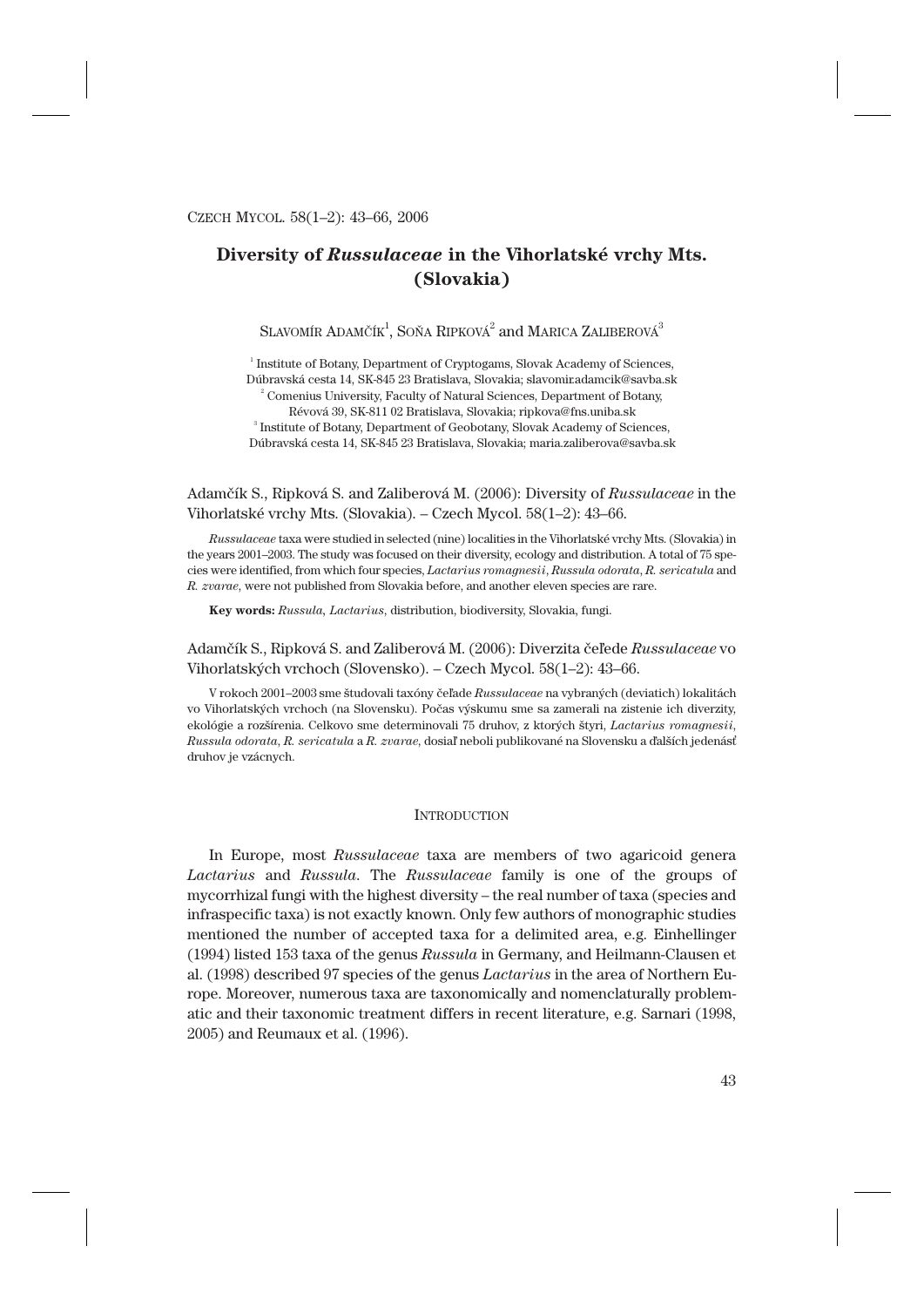# **Diversity of** *Russulaceae* **in the Vihorlatské vrchy Mts. (Slovakia)**

SLAVOMÍR ADAMČÍK $^1$ , SOŇA RIPKOVÁ $^2$  and Marica Zaliberová $^3$ 

<sup>1</sup> Institute of Botany, Department of Cryptogams, Slovak Academy of Sciences, Dúbravská cesta 14, SK-845 23 Bratislava, Slovakia; slavomir.adamcik@savba.sk <sup>2</sup> Comenius University, Faculty of Natural Sciences, Department of Botany, Révová 39, SK-811 02 Bratislava, Slovakia; ripkova@fns.uniba.sk 3 Institute of Botany, Department of Geobotany, Slovak Academy of Sciences, Dúbravská cesta 14, SK-845 23 Bratislava, Slovakia; maria.zaliberova@savba.sk

# Adamčík S., Ripková S. and Zaliberová M. (2006): Diversity of *Russulaceae* in the Vihorlatské vrchy Mts. (Slovakia). – Czech Mycol. 58(1–2): 43–66.

*Russulaceae* taxa were studied in selected (nine) localities in the Vihorlatské vrchy Mts. (Slovakia) in the years 2001–2003. The study was focused on their diversity, ecology and distribution. A total of 75 species were identified, from which four species, *Lactarius romagnesii*, *Russula odorata*, *R. sericatula* and *R. zvarae*, were not published from Slovakia before, and another eleven species are rare.

**Key words:** *Russula, Lactarius*, distribution, biodiversity, Slovakia, fungi.

# Adamčík S., Ripková S. and Zaliberová M. (2006): Diverzita čeľede *Russulaceae* vo Vihorlatských vrchoch (Slovensko). – Czech Mycol. 58(1–2): 43–66.

V rokoch 2001–2003 sme študovali taxóny čeľade *Russulaceae* na vybraných (deviatich) lokalitách vo Vihorlatských vrchoch (na Slovensku). Počas výskumu sme sa zamerali na zistenie ich diverzity, ekológie a rozšírenia. Celkovo sme determinovali 75 druhov, z ktorých štyri, *Lactarius romagnesii*, *Russula odorata*, *R. sericatula* a *R. zvarae*, dosiaľ neboli publikované na Slovensku a ďalších jedenásť druhov je vzácnych.

### **INTRODUCTION**

In Europe, most *Russulaceae* taxa are members of two agaricoid genera *Lactarius* and *Russula*. The *Russulaceae* family is one of the groups of mycorrhizal fungi with the highest diversity – the real number of taxa (species and infraspecific taxa) is not exactly known. Only few authors of monographic studies mentioned the number of accepted taxa for a delimited area, e.g. Einhellinger (1994) listed 153 taxa of the genus *Russula* in Germany, and Heilmann-Clausen et al. (1998) described 97 species of the genus *Lactarius* in the area of Northern Europe. Moreover, numerous taxa are taxonomically and nomenclaturally problematic and their taxonomic treatment differs in recent literature, e.g. Sarnari (1998, 2005) and Reumaux et al. (1996).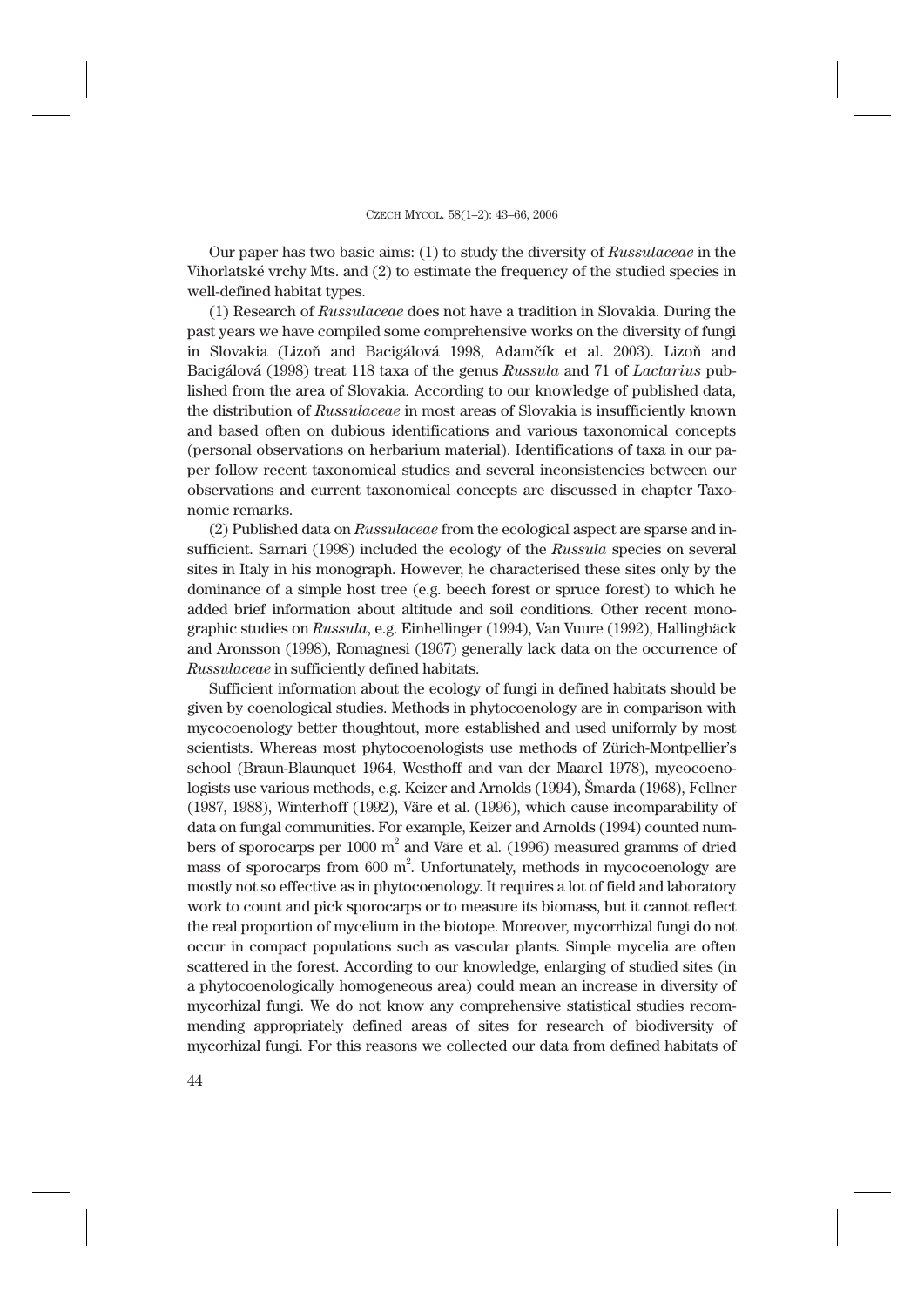Our paper has two basic aims: (1) to study the diversity of *Russulaceae* in the Vihorlatské vrchy Mts. and (2) to estimate the frequency of the studied species in well-defined habitat types.

(1) Research of *Russulaceae* does not have a tradition in Slovakia. During the past years we have compiled some comprehensive works on the diversity of fungi in Slovakia (Lizoň and Bacigálová 1998, Adamčík et al. 2003). Lizoň and Bacigálová (1998) treat 118 taxa of the genus *Russula* and 71 of *Lactarius* published from the area of Slovakia. According to our knowledge of published data, the distribution of *Russulaceae* in most areas of Slovakia is insufficiently known and based often on dubious identifications and various taxonomical concepts (personal observations on herbarium material). Identifications of taxa in our paper follow recent taxonomical studies and several inconsistencies between our observations and current taxonomical concepts are discussed in chapter Taxonomic remarks.

(2) Published data on *Russulaceae* from the ecological aspect are sparse and insufficient. Sarnari (1998) included the ecology of the *Russula* species on several sites in Italy in his monograph. However, he characterised these sites only by the dominance of a simple host tree (e.g. beech forest or spruce forest) to which he added brief information about altitude and soil conditions. Other recent monographic studies on *Russula*, e.g. Einhellinger (1994), Van Vuure (1992), Hallingbäck and Aronsson (1998), Romagnesi (1967) generally lack data on the occurrence of *Russulaceae* in sufficiently defined habitats.

Sufficient information about the ecology of fungi in defined habitats should be given by coenological studies. Methods in phytocoenology are in comparison with mycocoenology better thoughtout, more established and used uniformly by most scientists. Whereas most phytocoenologists use methods of Zürich-Montpellier's school (Braun-Blaunquet 1964, Westhoff and van der Maarel 1978), mycocoenologists use various methods, e.g. Keizer and Arnolds (1994), Šmarda (1968), Fellner (1987, 1988), Winterhoff (1992), Väre et al. (1996), which cause incomparability of data on fungal communities. For example, Keizer and Arnolds (1994) counted numbers of sporocarps per  $1000 \text{ m}^2$  and Väre et al. (1996) measured gramms of dried mass of sporocarps from  $600 \text{ m}^2$ . Unfortunately, methods in mycocoenology are mostly not so effective as in phytocoenology. It requires a lot of field and laboratory work to count and pick sporocarps or to measure its biomass, but it cannot reflect the real proportion of mycelium in the biotope. Moreover, mycorrhizal fungi do not occur in compact populations such as vascular plants. Simple mycelia are often scattered in the forest. According to our knowledge, enlarging of studied sites (in a phytocoenologically homogeneous area) could mean an increase in diversity of mycorhizal fungi. We do not know any comprehensive statistical studies recommending appropriately defined areas of sites for research of biodiversity of mycorhizal fungi. For this reasons we collected our data from defined habitats of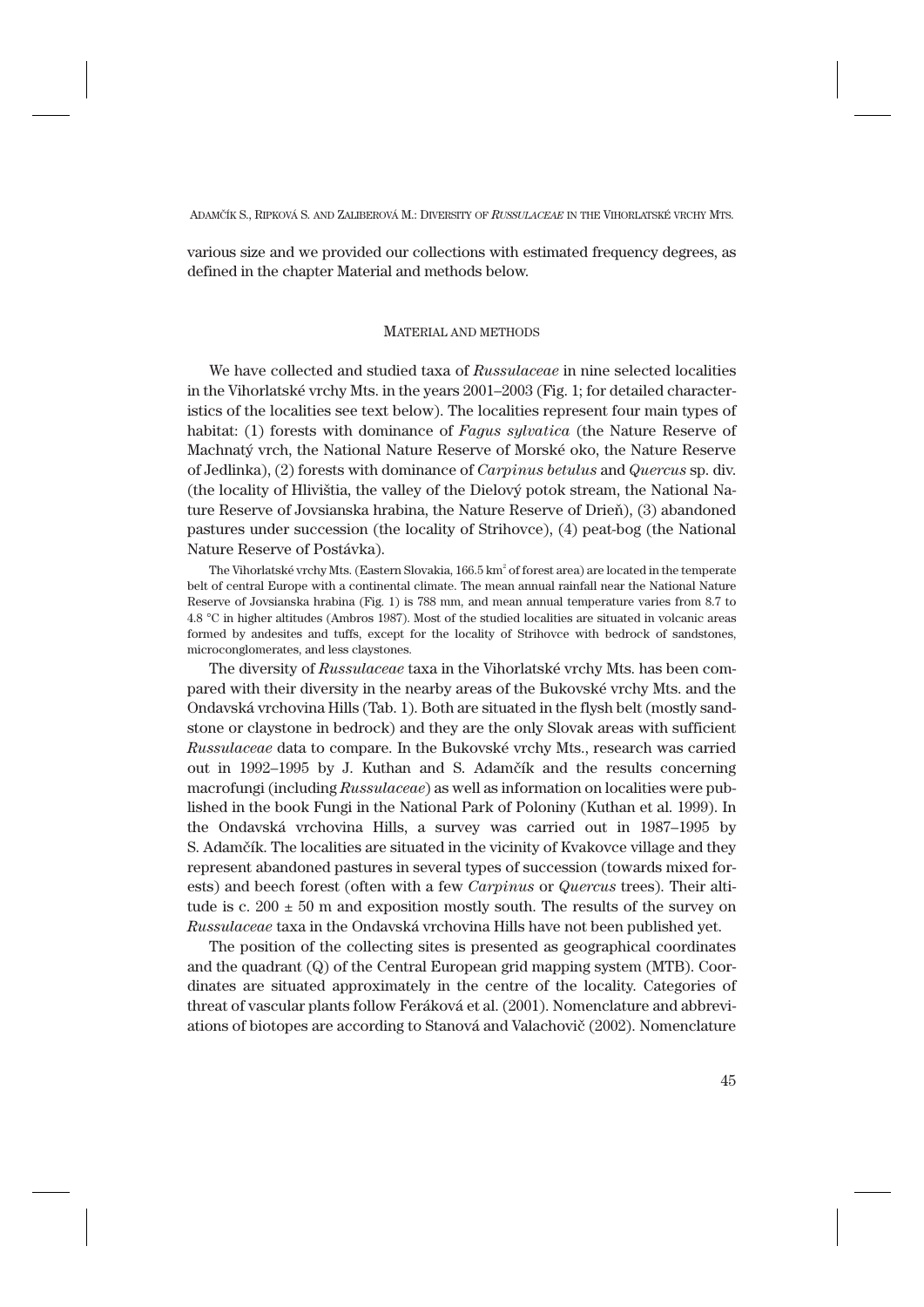various size and we provided our collections with estimated frequency degrees, as defined in the chapter Material and methods below.

# MATERIAL AND METHODS

We have collected and studied taxa of *Russulaceae* in nine selected localities in the Vihorlatské vrchy Mts. in the years 2001–2003 (Fig. 1; for detailed characteristics of the localities see text below). The localities represent four main types of habitat: (1) forests with dominance of *Fagus sylvatica* (the Nature Reserve of Machnatý vrch, the National Nature Reserve of Morské oko, the Nature Reserve of Jedlinka), (2) forests with dominance of *Carpinus betulus* and *Quercus* sp. div. (the locality of Hlivištia, the valley of the Dielový potok stream, the National Nature Reserve of Jovsianska hrabina, the Nature Reserve of Drieň), (3) abandoned pastures under succession (the locality of Strihovce), (4) peat-bog (the National Nature Reserve of Postávka).

The Vihorlatské vrchy Mts. (Eastern Slovakia,  $166.5\,\mathrm{km}^2$  of forest area) are located in the temperate belt of central Europe with a continental climate. The mean annual rainfall near the National Nature Reserve of Jovsianska hrabina (Fig. 1) is 788 mm, and mean annual temperature varies from 8.7 to 4.8 °C in higher altitudes (Ambros 1987). Most of the studied localities are situated in volcanic areas formed by andesites and tuffs, except for the locality of Strihovce with bedrock of sandstones, microconglomerates, and less claystones.

The diversity of *Russulaceae* taxa in the Vihorlatské vrchy Mts. has been compared with their diversity in the nearby areas of the Bukovské vrchy Mts. and the Ondavská vrchovina Hills (Tab. 1). Both are situated in the flysh belt (mostly sandstone or claystone in bedrock) and they are the only Slovak areas with sufficient *Russulaceae* data to compare. In the Bukovské vrchy Mts., research was carried out in 1992–1995 by J. Kuthan and S. Adamčík and the results concerning macrofungi (including *Russulaceae*) as well as information on localities were published in the book Fungi in the National Park of Poloniny (Kuthan et al. 1999). In the Ondavská vrchovina Hills, a survey was carried out in 1987–1995 by S. Adamčík. The localities are situated in the vicinity of Kvakovce village and they represent abandoned pastures in several types of succession (towards mixed forests) and beech forest (often with a few *Carpinus* or *Quercus* trees). Their altitude is c.  $200 \pm 50$  m and exposition mostly south. The results of the survey on *Russulaceae* taxa in the Ondavská vrchovina Hills have not been published yet.

The position of the collecting sites is presented as geographical coordinates and the quadrant (Q) of the Central European grid mapping system (MTB). Coordinates are situated approximately in the centre of the locality. Categories of threat of vascular plants follow Feráková et al. (2001). Nomenclature and abbreviations of biotopes are according to Stanová and Valachovič (2002). Nomenclature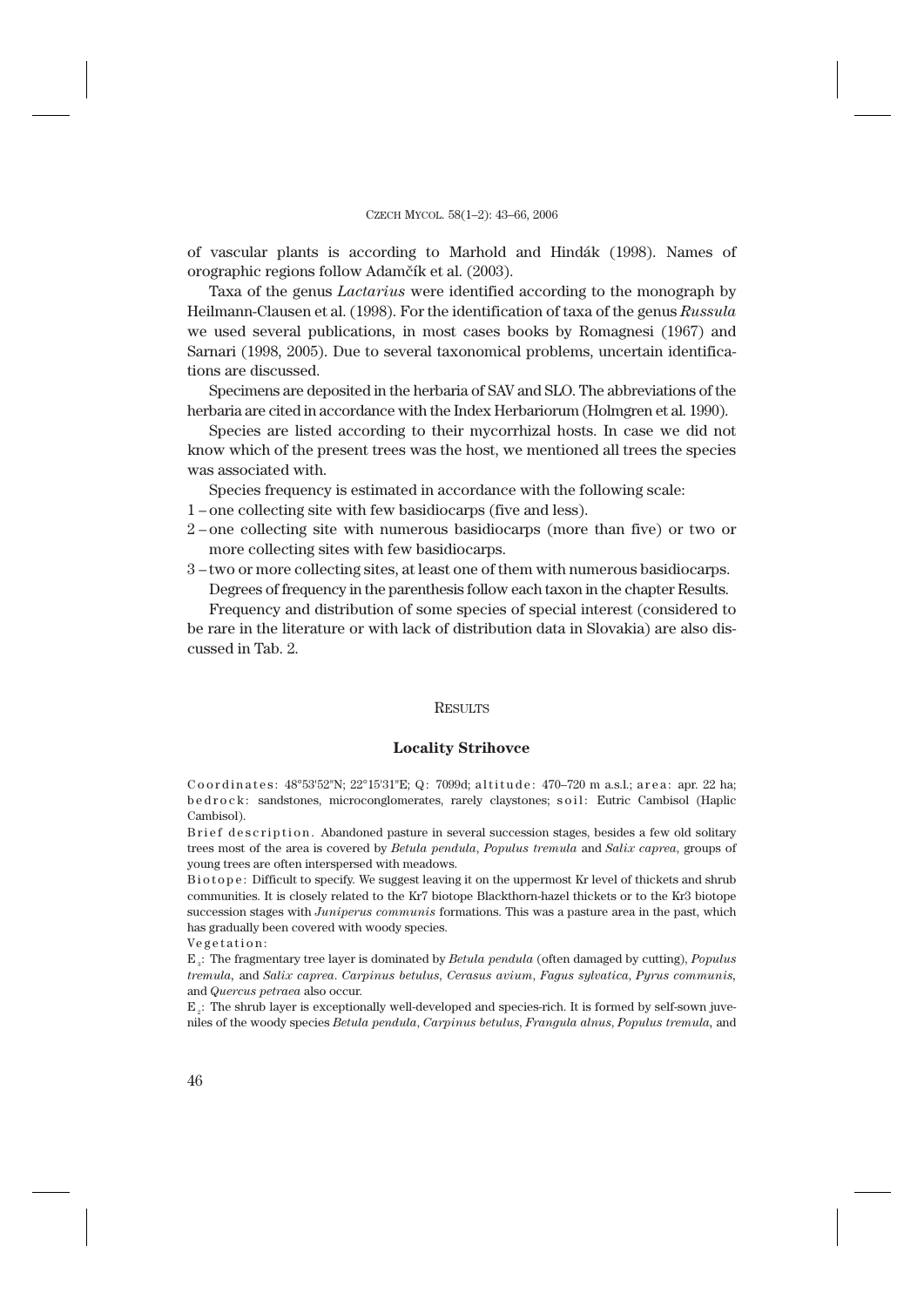of vascular plants is according to Marhold and Hindák (1998). Names of orographic regions follow Adamčík et al. (2003).

Taxa of the genus *Lactarius* were identified according to the monograph by Heilmann-Clausen et al. (1998). For the identification of taxa of the genus *Russula* we used several publications, in most cases books by Romagnesi (1967) and Sarnari (1998, 2005). Due to several taxonomical problems, uncertain identifications are discussed.

Specimens are deposited in the herbaria of SAV and SLO. The abbreviations of the herbaria are cited in accordance with the Index Herbariorum (Holmgren et al. 1990).

Species are listed according to their mycorrhizal hosts. In case we did not know which of the present trees was the host, we mentioned all trees the species was associated with.

Species frequency is estimated in accordance with the following scale:

- 1 one collecting site with few basidiocarps (five and less).
- 2 one collecting site with numerous basidiocarps (more than five) or two or more collecting sites with few basidiocarps.
- 3 two or more collecting sites, at least one of them with numerous basidiocarps. Degrees of frequency in the parenthesis follow each taxon in the chapter Results.

Frequency and distribution of some species of special interest (considered to be rare in the literature or with lack of distribution data in Slovakia) are also discussed in Tab. 2.

### **RESULTS**

# **Locality Strihovce**

Coordinates: 48°53'52"N; 22°15'31"E; Q: 7099d; altitude: 470–720 m a.s.l.; area: apr. 22 ha; b e d r o c k : sandstones, microconglomerates, rarely claystones; soil: Eutric Cambisol (Haplic Cambisol).

Brief description. Abandoned pasture in several succession stages, besides a few old solitary trees most of the area is covered by *Betula pendula*, *Populus tremula* and *Salix caprea*, groups of young trees are often interspersed with meadows.

Biotope: Difficult to specify. We suggest leaving it on the uppermost Kr level of thickets and shrub communities. It is closely related to the Kr7 biotope Blackthorn-hazel thickets or to the Kr3 biotope succession stages with *Juniperus communis* formations. This was a pasture area in the past, which has gradually been covered with woody species.

Vegetation:

E3 : The fragmentary tree layer is dominated by *Betula pendula* (often damaged by cutting), *Populus tremula,* and *Salix caprea*. *Carpinus betulus*, *Cerasus avium*, *Fagus sylvatica*, *Pyrus communis,* and *Quercus petraea* also occur.

 $E<sub>2</sub>$ : The shrub layer is exceptionally well-developed and species-rich. It is formed by self-sown juveniles of the woody species *Betula pendula*, *Carpinus betulus*, *Frangula alnus*, *Populus tremula,* and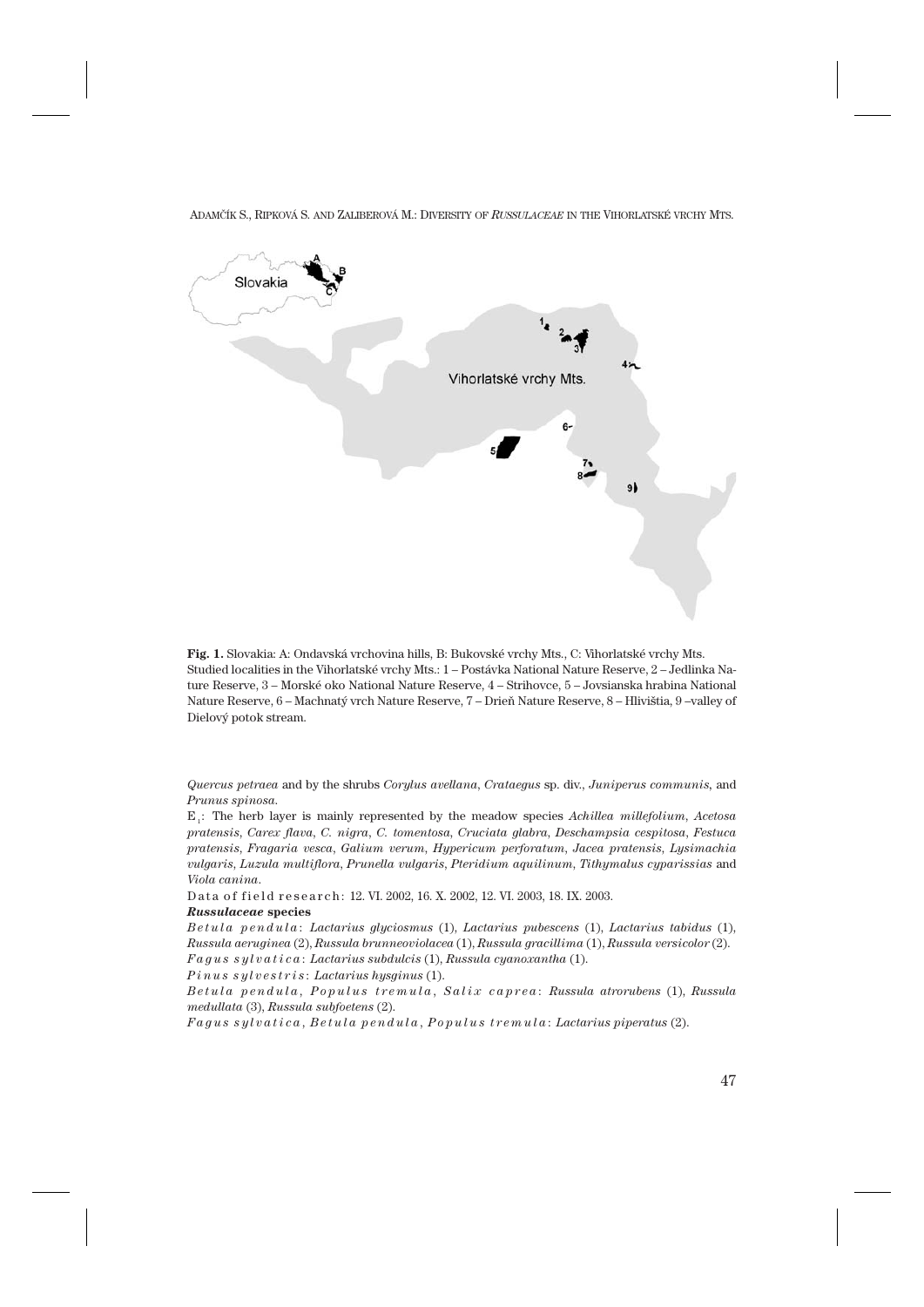

**Fig. 1.** Slovakia: A: Ondavská vrchovina hills, B: Bukovské vrchy Mts., C: Vihorlatské vrchy Mts. Studied localities in the Vihorlatské vrchy Mts.: 1 – Postávka National Nature Reserve, 2 – Jedlinka Nature Reserve, 3 – Morské oko National Nature Reserve, 4 – Strihovce, 5 – Jovsianska hrabina National Nature Reserve, 6 – Machnatý vrch Nature Reserve, 7 – Drieň Nature Reserve, 8 – Hlivištia, 9 –valley of Dielový potok stream.

*Quercus petraea* and by the shrubs *Corylus avellana*, *Crataegus* sp. div., *Juniperus communis,* and *Prunus spinosa*.

E1 : The herb layer is mainly represented by the meadow species *Achillea millefolium*, *Acetosa pratensis*, *Carex flava*, *C. nigra*, *C. tomentosa*, *Cruciata glabra*, *Deschampsia cespitosa*, *Festuca pratensis*, *Fragaria vesca*, *Galium verum*, *Hypericum perforatum*, *Jacea pratensis*, *Lysimachia vulgaris*, *Luzula multiflora*, *Prunella vulgaris*, *Pteridium aquilinum*, *Tithymalus cyparissias* and *Viola canina*.

Data of field research: 12. VI. 2002, 16. X. 2002, 12. VI. 2003, 18. IX. 2003.

#### *Russulaceae* **species**

*Betula pendula* : *Lactarius glyciosmus* (1), *Lactarius pubescens* (1), *Lactarius tabidus* (1), *Russula aeruginea* (2), *Russula brunneoviolacea* (1), *Russula gracillima* (1), *Russula versicolor* (2). *Fagus sylvatica* : *Lactarius subdulcis* (1), *Russula cyanoxantha* (1).

*Pinus sylvestris* : *Lactarius hysginus* (1).

*Betula pendula* , *Populus tremula* , *Salix caprea* : *Russula atrorubens* (1), *Russula medullata* (3), *Russula subfoetens* (2).

*Fagus sylvatica* , *Betula pendula* , *Populus tremula* : *Lactarius piperatus* (2).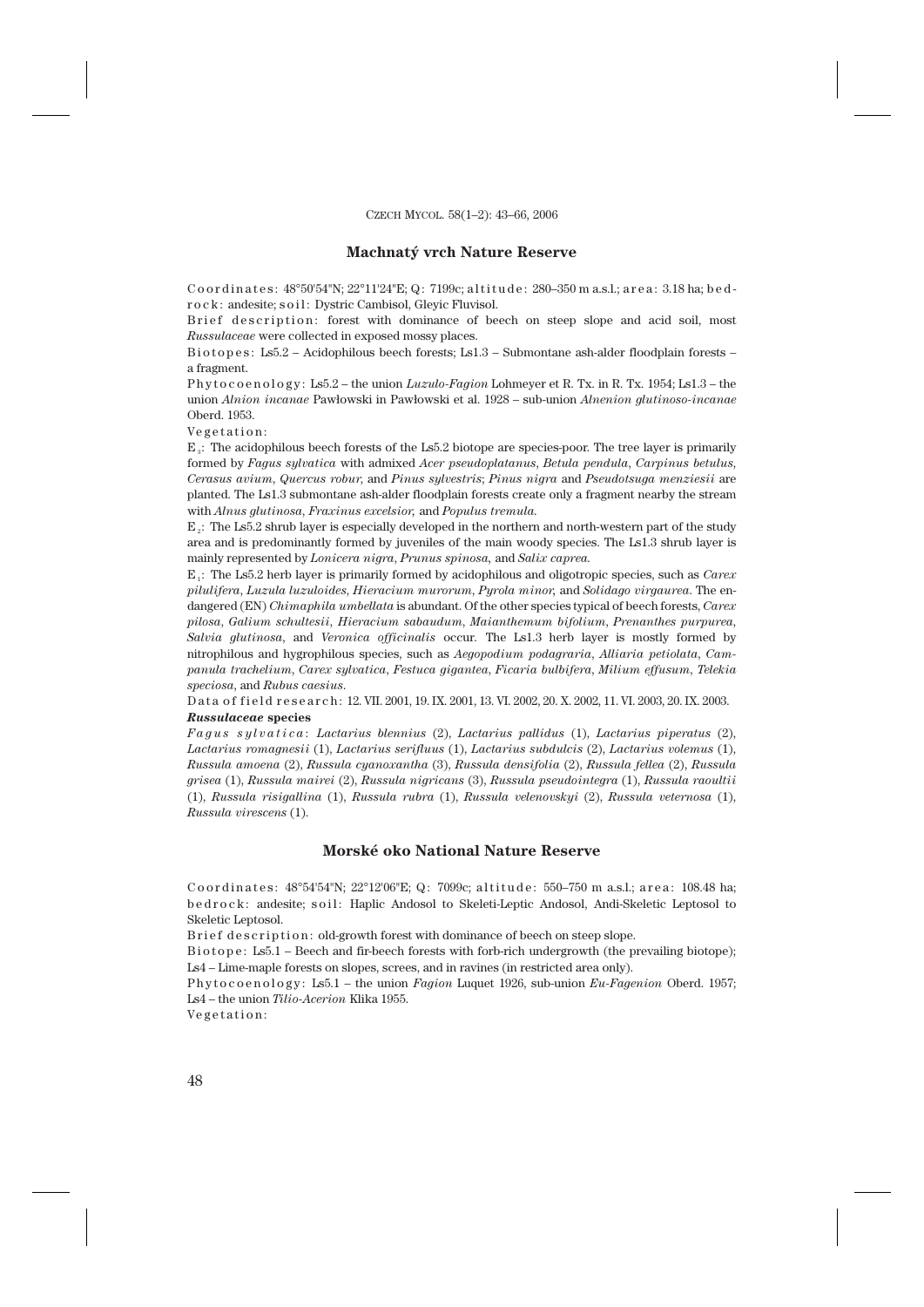### **Machnatý vrch Nature Reserve**

Coordinates:  $48^{\circ}50^{\circ}54^{\prime\prime}$ N;  $22^{\circ}11^{\prime}24^{\prime\prime}E$ ; Q: 7199c; altitude:  $280-350$  m a.s.l.; area: 3.18 ha; bedr o c k : andesite; s o i l : Dystric Cambisol, Glevic Fluvisol.

Brief description: forest with dominance of beech on steep slope and acid soil, most *Russulaceae* were collected in exposed mossy places.

Biotopes: Ls5.2 – Acidophilous beech forests; Ls1.3 – Submontane ash-alder floodplain forests – a fragment.

P h y t o c o e n o l o g y : Ls5.2 – the union *Luzulo-Fagion* Lohmeyer et R. Tx. in R. Tx. 1954; Ls1.3 – the union *Alnion incanae* Pawłowski in Pawłowski et al. 1928 – sub-union *Alnenion glutinoso-incanae* Oberd. 1953.

Vegetation:

 $E<sub>a</sub>$ : The acidophilous beech forests of the Ls5.2 biotope are species-poor. The tree layer is primarily formed by *Fagus sylvatica* with admixed *Acer pseudoplatanus*, *Betula pendula*, *Carpinus betulus*, *Cerasus avium*, *Quercus robur*, and *Pinus sylvestris*; *Pinus nigra* and *Pseudotsuga menziesii* are planted. The Ls1.3 submontane ash-alder floodplain forests create only a fragment nearby the stream with *Alnus glutinosa*, *Fraxinus excelsior,* and *Populus tremula.*

E2 : The Ls5.2 shrub layer is especially developed in the northern and north-western part of the study area and is predominantly formed by juveniles of the main woody species. The Ls1.3 shrub layer is mainly represented by *Lonicera nigra*, *Prunus spinosa,* and *Salix caprea.*

E1 : The Ls5.2 herb layer is primarily formed by acidophilous and oligotropic species, such as *Carex pilulifera*, *Luzula luzuloides*, *Hieracium murorum*, *Pyrola minor,* and *Solidago virgaurea*. The endangered (EN) *Chimaphila umbellata* is abundant. Of the other species typical of beech forests, *Carex pilosa*, *Galium schultesii*, *Hieracium sabaudum*, *Maianthemum bifolium*, *Prenanthes purpurea*, *Salvia glutinosa*, and *Veronica officinalis* occur*.* The Ls1.3 herb layer is mostly formed by nitrophilous and hygrophilous species, such as *Aegopodium podagraria*, *Alliaria petiolata*, *Campanula trachelium*, *Carex sylvatica*, *Festuca gigantea*, *Ficaria bulbifera*, *Milium effusum*, *Telekia speciosa*, and *Rubus caesius*.

D at a of field research: 12. VII. 2001, 19. IX. 2001, 13. VI. 2002, 20. X. 2002, 11. VI. 2003, 20. IX. 2003. *Russulaceae* **species**

*Fagus sylvatica* : *Lactarius blennius* (2), *Lactarius pallidus* (1), *Lactarius piperatus* (2), *Lactarius romagnesii* (1), *Lactarius serifluus* (1), *Lactarius subdulcis* (2), *Lactarius volemus* (1), *Russula amoena* (2), *Russula cyanoxantha* (3), *Russula densifolia* (2), *Russula fellea* (2), *Russula grisea* (1), *Russula mairei* (2), *Russula nigricans* (3), *Russula pseudointegra* (1), *Russula raoultii* (1), *Russula risigallina* (1), *Russula rubra* (1), *Russula velenovskyi* (2), *Russula veternosa* (1), *Russula virescens* (1).

# **Morské oko National Nature Reserve**

Coordinates: 48°54'54"N; 22°12'06"E; Q: 7099c; altitude: 550–750 m a.s.l.; area: 108.48 ha; b e d r o c k : andesite; soil : Haplic Andosol to Skeleti-Leptic Andosol, Andi-Skeletic Leptosol to Skeletic Leptosol.

Brief description: old-growth forest with dominance of beech on steep slope.

Biotope: Ls5.1 – Beech and fir-beech forests with forb-rich undergrowth (the prevailing biotope); Ls4 – Lime-maple forests on slopes, screes, and in ravines (in restricted area only).

P h y t o c o e n o l o g y : Ls5.1 – the union *Fagion* Luquet 1926, sub-union *Eu-Fagenion* Oberd. 1957; Ls4 – the union *Tilio-Acerion* Klika 1955.

Vegetation: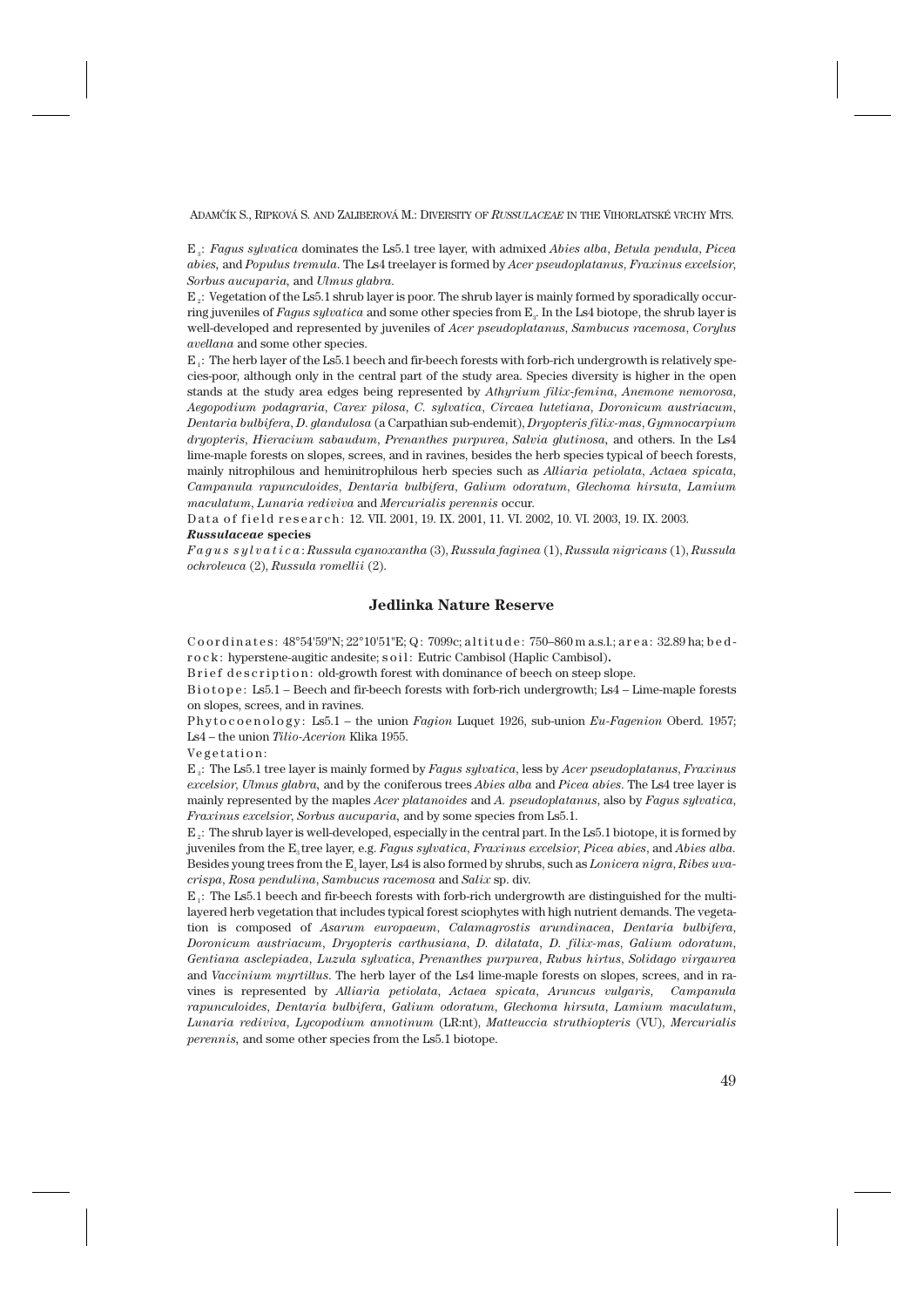E3 : *Fagus sylvatica* dominates the Ls5.1 tree layer, with admixed *Abies alba*, *Betula pendula*, *Picea abies,* and *Populus tremula*. The Ls4 treelayer is formed by *Acer pseudoplatanus*, *Fraxinus excelsior*, *Sorbus aucuparia,* and *Ulmus glabra.*

 $E<sub>g</sub>$ : Vegetation of the Ls5.1 shrub layer is poor. The shrub layer is mainly formed by sporadically occurring juveniles of *Fagus sylvatica* and some other species from E3. In the Ls4 biotope, the shrub layer is well-developed and represented by juveniles of *Acer pseudoplatanus*, *Sambucus racemosa*, *Corylus avellana* and some other species.

 $E_1$ : The herb layer of the Ls5.1 beech and fir-beech forests with forb-rich undergrowth is relatively species-poor, although only in the central part of the study area. Species diversity is higher in the open stands at the study area edges being represented by *Athyrium filix-femina*, *Anemone nemorosa*, *Aegopodium podagraria*, *Carex pilosa*, *C. sylvatica*, *Circaea lutetiana*, *Doronicum austriacum*, *Dentaria bulbifera*, *D*. *glandulosa* (a Carpathian sub-endemit), *Dryopteris filix-mas*, *Gymnocarpium dryopteris*, *Hieracium sabaudum*, *Prenanthes purpurea*, *Salvia glutinosa,* and others. In the Ls4 lime-maple forests on slopes, screes, and in ravines, besides the herb species typical of beech forests, mainly nitrophilous and heminitrophilous herb species such as *Alliaria petiolata*, *Actaea spicata*, *Campanula rapunculoides*, *Dentaria bulbifera*, *Galium odoratum*, *Glechoma hirsuta*, *Lamium maculatum*, *Lunaria rediviva* and *Mercurialis perennis* occur.

D at a of field research: 12. VII. 2001, 19. IX. 2001, 11. VI. 2002, 10. VI. 2003, 19. IX. 2003.

#### *Russulaceae* **species**

*Fagus sylvatica* : *Russula cyanoxantha* (3), *Russula faginea* (1), *Russula nigricans* (1), *Russula ochroleuca* (2), *Russula romellii* (2).

# **Jedlinka Nature Reserve**

Coordinates:  $48^{\circ}54'59''N$ ;  $22^{\circ}10'51''E$ ; Q: 7099c; altitude: 750–860 m a.s.l.; area: 32.89 ha; bedr o c k : hyperstene-augitic andesite; s o i l : Eutric Cambisol (Haplic Cambisol)**.**

B rief description: old-growth forest with dominance of beech on steep slope.

B i o t o p e : Ls5.1 – Beech and fir-beech forests with forb-rich undergrowth; Ls4 – Lime-maple forests on slopes, screes, and in ravines.

Phytocoenology: Ls5.1 – the union *Fagion* Luquet 1926, sub-union *Eu-Fagenion* Oberd. 1957; Ls4 – the union *Tilio-Acerion* Klika 1955.

Vegetation:

E3 : The Ls5.1 tree layer is mainly formed by *Fagus sylvatica*, less by *Acer pseudoplatanus*, *Fraxinus excelsior*, *Ulmus glabra,* and by the coniferous trees *Abies alba* and *Picea abies*. The Ls4 tree layer is mainly represented by the maples *Acer platanoides* and *A. pseudoplatanus*, also by *Fagus sylvatica*, *Fraxinus excelsior*, *Sorbus aucuparia,* and by some species from Ls5.1.

E2 : The shrub layer is well-developed, especially in the central part. In the Ls5.1 biotope, it is formed by juveniles from the E3 tree layer, e.g. *Fagus sylvatica*, *Fraxinus excelsior*, *Picea abies*, and *Abies alba.* Besides young trees from the E3 layer, Ls4 is also formed by shrubs, such as *Lonicera nigra*, *Ribes uvacrispa*, *Rosa pendulina*, *Sambucus racemosa* and *Salix* sp. div.

 $E_1$ : The Ls5.1 beech and fir-beech forests with forb-rich undergrowth are distinguished for the multilayered herb vegetation that includes typical forest sciophytes with high nutrient demands. The vegetation is composed of *Asarum europaeum*, *Calamagrostis arundinacea*, *Dentaria bulbifera*, *Doronicum austriacum*, *Dryopteris carthusiana*, *D. dilatata*, *D. filix-mas*, *Galium odoratum*, *Gentiana asclepiadea*, *Luzula sylvatica*, *Prenanthes purpurea*, *Rubus hirtus*, *Solidago virgaurea* and *Vaccinium myrtillus*. The herb layer of the Ls4 lime-maple forests on slopes, screes, and in ravines is represented by *Alliaria petiolata*, *Actaea spicata*, *Aruncus vulgaris*, *Campanula rapunculoides*, *Dentaria bulbifera*, *Galium odoratum*, *Glechoma hirsuta*, *Lamium maculatum*, *Lunaria rediviva*, *Lycopodium annotinum* (LR:nt), *Matteuccia struthiopteris* (VU), *Mercurialis perennis,* and some other species from the Ls5.1 biotope.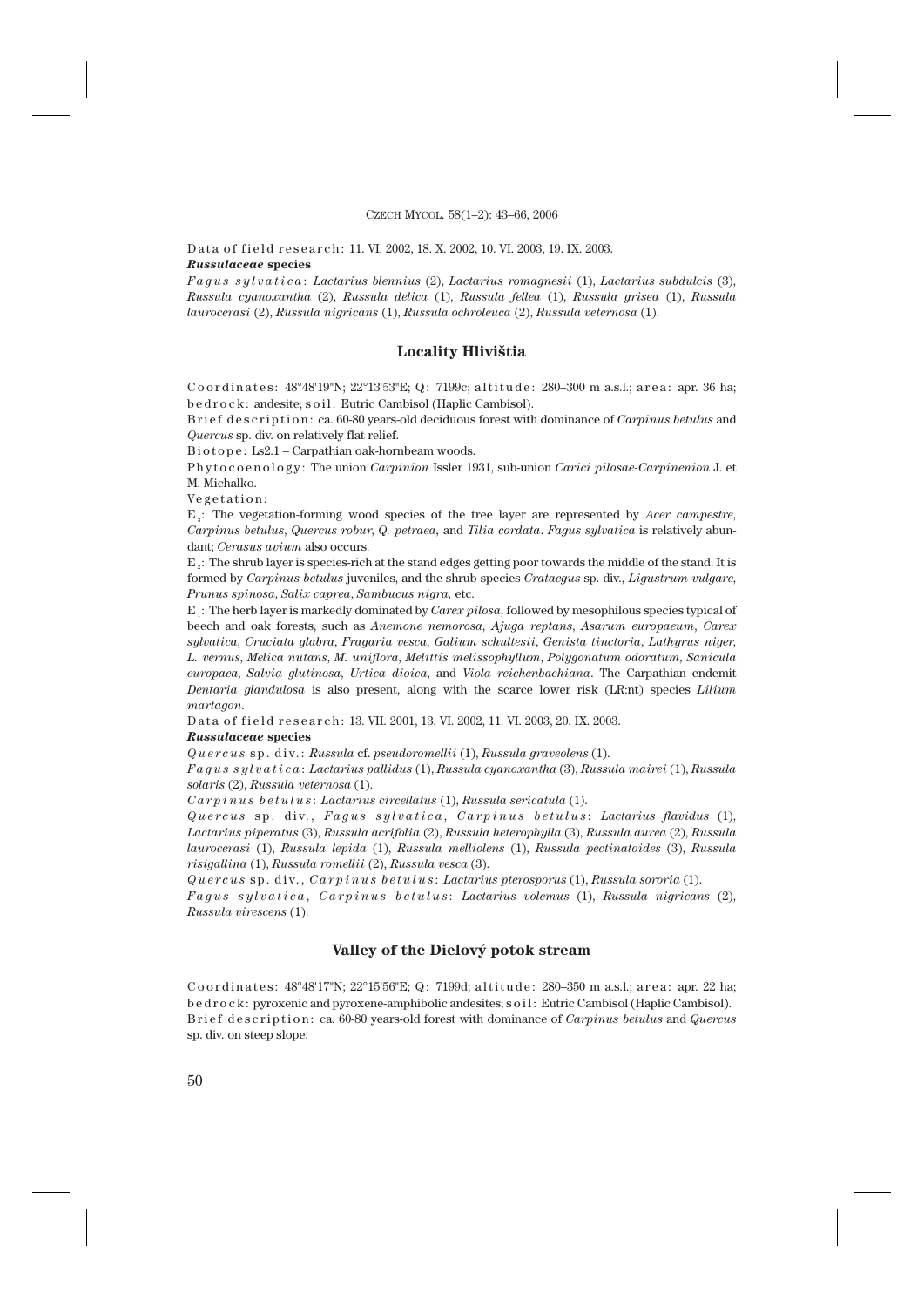Data of field research: 11. VI. 2002, 18. X. 2002, 10. VI. 2003, 19. IX. 2003. *Russulaceae* **species**

*Fagus sylvatica* : *Lactarius blennius* (2), *Lactarius romagnesii* (1), *Lactarius subdulcis* (3), *Russula cyanoxantha* (2), *Russula delica* (1), *Russula fellea* (1), *Russula grisea* (1), *Russula laurocerasi* (2), *Russula nigricans* (1), *Russula ochroleuca* (2), *Russula veternosa* (1).

### **Locality Hlivištia**

Coordinates: 48°48'19"N; 22°13'53"E; Q: 7199c; altitude: 280-300 m a.s.l.; area: apr. 36 ha; b e d r o c k : andesite; s o i l : Eutric Cambisol (Haplic Cambisol).

B rief description: ca. 60-80 years-old deciduous forest with dominance of *Carpinus betulus* and *Quercus* sp. div. on relatively flat relief.

Biotope: Ls2.1 – Carpathian oak-hornbeam woods.

P h y t o c o e n o l o g y : The union *Carpinion* Issler 1931, sub-union *Carici pilosae-Carpinenion* J. et M. Michalko.

Vegetation:

E3 : The vegetation-forming wood species of the tree layer are represented by *Acer campestre*, *Carpinus betulus*, *Quercus robur*, *Q. petraea,* and *Tilia cordata*. *Fagus sylvatica* is relatively abundant; *Cerasus avium* also occurs.

E<sub>2</sub>: The shrub layer is species-rich at the stand edges getting poor towards the middle of the stand. It is formed by *Carpinus betulus* juveniles, and the shrub species *Crataegus* sp. div., *Ligustrum vulgare*, *Prunus spinosa*, *Salix caprea*, *Sambucus nigra,* etc.

E1 : The herb layer is markedly dominated by *Carex pilosa*, followed by mesophilous species typical of beech and oak forests, such as *Anemone nemorosa*, *Ajuga reptans*, *Asarum europaeum*, *Carex sylvatica*, *Cruciata glabra*, *Fragaria vesca*, *Galium schultesii*, *Genista tinctoria*, *Lathyrus niger*, *L. vernus*, *Melica nutans*, *M. uniflora*, *Melittis melissophyllum*, *Polygonatum odoratum*, *Sanicula europaea*, *Salvia glutinosa*, *Urtica dioica*, and *Viola reichenbachiana*. The Carpathian endemit *Dentaria glandulosa* is also present, along with the scarce lower risk (LR:nt) species *Lilium martagon*.

Data of field research: 13. VII. 2001, 13. VI. 2002, 11. VI. 2003, 20. IX. 2003.

#### *Russulaceae* **species**

*Quercus* sp. div.: *Russula* cf. *pseudoromellii* (1), *Russula graveolens* (1).

*Fagus sylvatica* : *Lactarius pallidus* (1), *Russula cyanoxantha* (3), *Russula mairei* (1), *Russula solaris* (2), *Russula veternosa* (1).

*Carpinus betulus* : *Lactarius circellatus* (1), *Russula sericatula* (1).

*Quercus* sp. div., *Fagus sylvatica* , *Carpinus betulus* : *Lactarius flavidus* (1), *Lactarius piperatus* (3), *Russula acrifolia* (2), *Russula heterophylla* (3), *Russula aurea* (2), *Russula laurocerasi* (1), *Russula lepida* (1), *Russula melliolens* (1), *Russula pectinatoides* (3), *Russula risigallina* (1), *Russula romellii* (2), *Russula vesca* (3).

*Quercus* sp. div., *Carpinus betulus* : *Lactarius pterosporus* (1), *Russula sororia* (1).

*Fagus sylvatica* , *Carpinus betulus* : *Lactarius volemus* (1), *Russula nigricans* (2), *Russula virescens* (1).

# **Valley of the Dielový potok stream**

Coordinates:  $48^{\circ}48'17''N$ ;  $22^{\circ}15'56''E$ ; Q: 7199d; altitude:  $280-350$  m a.s.l.; area: apr. 22 ha; b e d r o c k : pyroxenic and pyroxene-amphibolic andesites; s o i l : Eutric Cambisol (Haplic Cambisol). Brief description: ca. 60-80 years-old forest with dominance of *Carpinus betulus* and *Quercus* sp. div. on steep slope.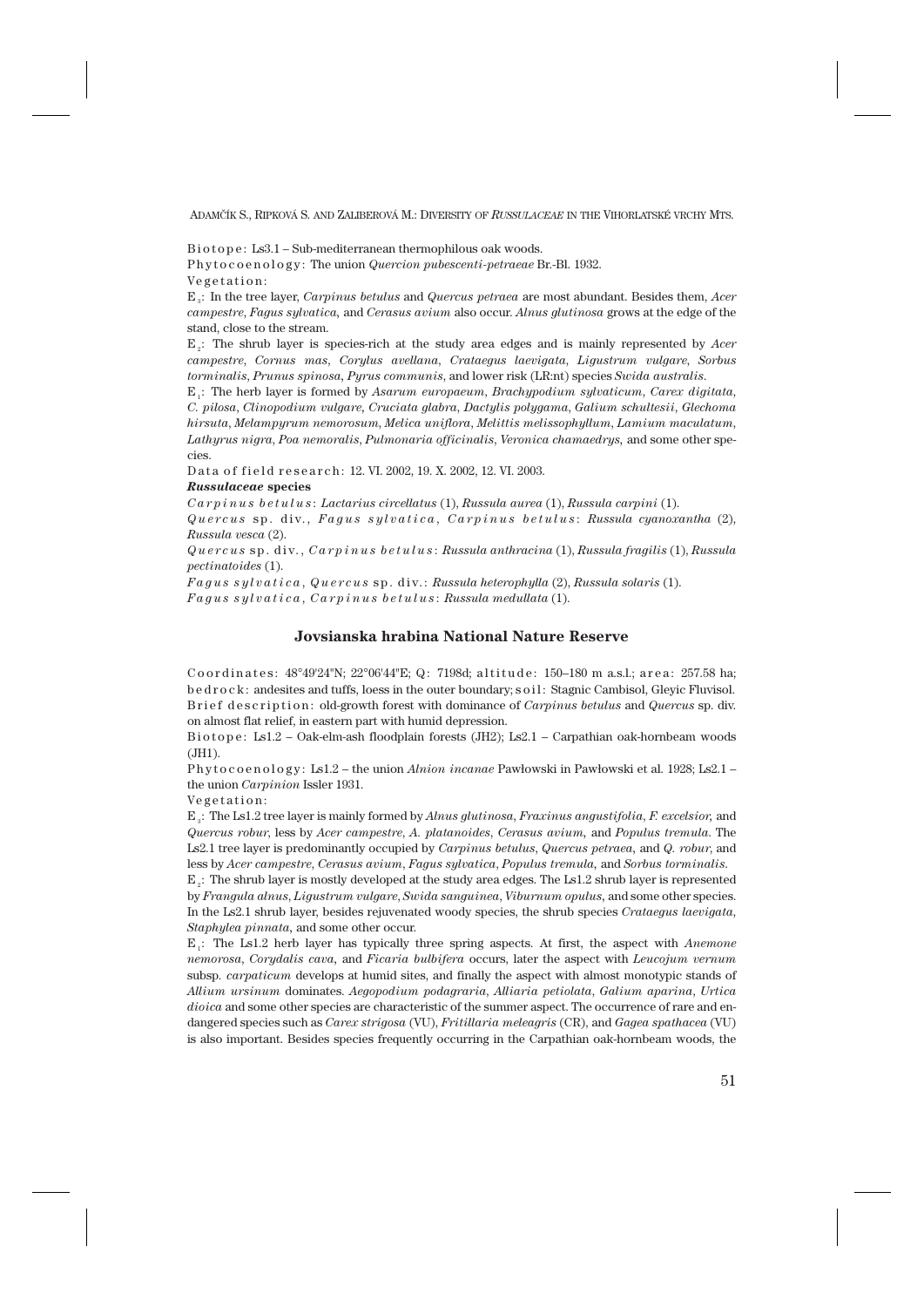Biotope: Ls3.1 – Sub-mediterranean thermophilous oak woods.

P h y t o c o e n o l o g y : The union *Quercion pubescenti-petraeae* Br.-Bl. 1932. Vegetation:

E3 : In the tree layer, *Carpinus betulus* and *Quercus petraea* are most abundant. Besides them, *Acer campestre*, *Fagus sylvatica,* and *Cerasus avium* also occur. *Alnus glutinosa* grows at the edge of the stand, close to the stream.

E2 : The shrub layer is species-rich at the study area edges and is mainly represented by *Acer campestre*, *Cornus mas*, *Corylus avellana*, *Crataegus laevigata*, *Ligustrum vulgare*, *Sorbus torminalis*, *Prunus spinosa, Pyrus communis*, and lower risk (LR:nt) species *Swida australis*.

E1 : The herb layer is formed by *Asarum europaeum*, *Brachypodium sylvaticum*, *Carex digitata*, *C. pilosa*, *Clinopodium vulgare, Cruciata glabra*, *Dactylis polygama*, *Galium schultesii*, *Glechoma hirsuta*, *Melampyrum nemorosum*, *Melica uniflora*, *Melittis melissophyllum*, *Lamium maculatum*, *Lathyrus nigra*, *Poa nemoralis*, *Pulmonaria officinalis*, *Veronica chamaedrys,* and some other species.

Data of field research: 12. VI. 2002, 19. X. 2002, 12. VI. 2003.

#### *Russulaceae* **species**

*Carpinus betulus* : *Lactarius circellatus* (1), *Russula aurea* (1), *Russula carpini* (1).

*Quercus* sp. div., *Fagus sylvatica* , *Carpinus betulus* : *Russula cyanoxantha* (2), *Russula vesca* (2).

*Quercus* sp. div., *Carpinus betulus* : *Russula anthracina* (1), *Russula fragilis* (1), *Russula pectinatoides* (1).

*Fagus sylvatica* , *Quercus* sp. div.: *Russula heterophylla* (2), *Russula solaris* (1). *Fagus sylvatica* , *Carpinus betulus* : *Russula medullata* (1).

# **Jovsianska hrabina National Nature Reserve**

Coordinates:  $48^{\circ}49'24''N$ ;  $22^{\circ}06'44''E$ ; Q: 7198d; altitude: 150–180 m a.s.l.; area: 257.58 ha; b e d r o c k : andesites and tuffs, loess in the outer boundary; s o i l : Stagnic Cambisol, Gleyic Fluvisol. Brief description: old-growth forest with dominance of *Carpinus betulus* and *Quercus* sp. div. on almost flat relief, in eastern part with humid depression.

Biotope: Ls1.2 – Oak-elm-ash floodplain forests (JH2); Ls2.1 – Carpathian oak-hornbeam woods (JH1).

P h y t o c o e n o l o g y : Ls1.2 – the union *Alnion incanae* Pawłowski in Pawłowski et al. 1928; Ls2.1 – the union *Carpinion* Issler 1931.

Vegetation:

E3 : The Ls1.2 tree layer is mainly formed by *Alnus glutinosa*, *Fraxinus angustifolia*, *F. excelsior,* and *Quercus robur*, less by *Acer campestre*, *A. platanoides*, *Cerasus avium,* and *Populus tremula*. The Ls2.1 tree layer is predominantly occupied by *Carpinus betulus*, *Quercus petraea,* and *Q. robur*, and less by *Acer campestre*, *Cerasus avium*, *Fagus sylvatica*, *Populus tremula,* and *Sorbus torminalis*.

E2 : The shrub layer is mostly developed at the study area edges. The Ls1.2 shrub layer is represented by *Frangula alnus*, *Ligustrum vulgare*, *Swida sanguinea*, *Viburnum opulus,* and some other species. In the Ls2.1 shrub layer, besides rejuvenated woody species, the shrub species *Crataegus laevigata*, *Staphylea pinnata,* and some other occur.

E1 : The Ls1.2 herb layer has typically three spring aspects. At first, the aspect with *Anemone nemorosa*, *Corydalis cava,* and *Ficaria bulbifera* occurs, later the aspect with *Leucojum vernum* subsp*. carpaticum* develops at humid sites, and finally the aspect with almost monotypic stands of *Allium ursinum* dominates. *Aegopodium podagraria*, *Alliaria petiolata*, *Galium aparina*, *Urtica dioica* and some other species are characteristic of the summer aspect. The occurrence of rare and endangered species such as *Carex strigosa* (VU), *Fritillaria meleagris* (CR), and *Gagea spathacea* (VU) is also important. Besides species frequently occurring in the Carpathian oak-hornbeam woods, the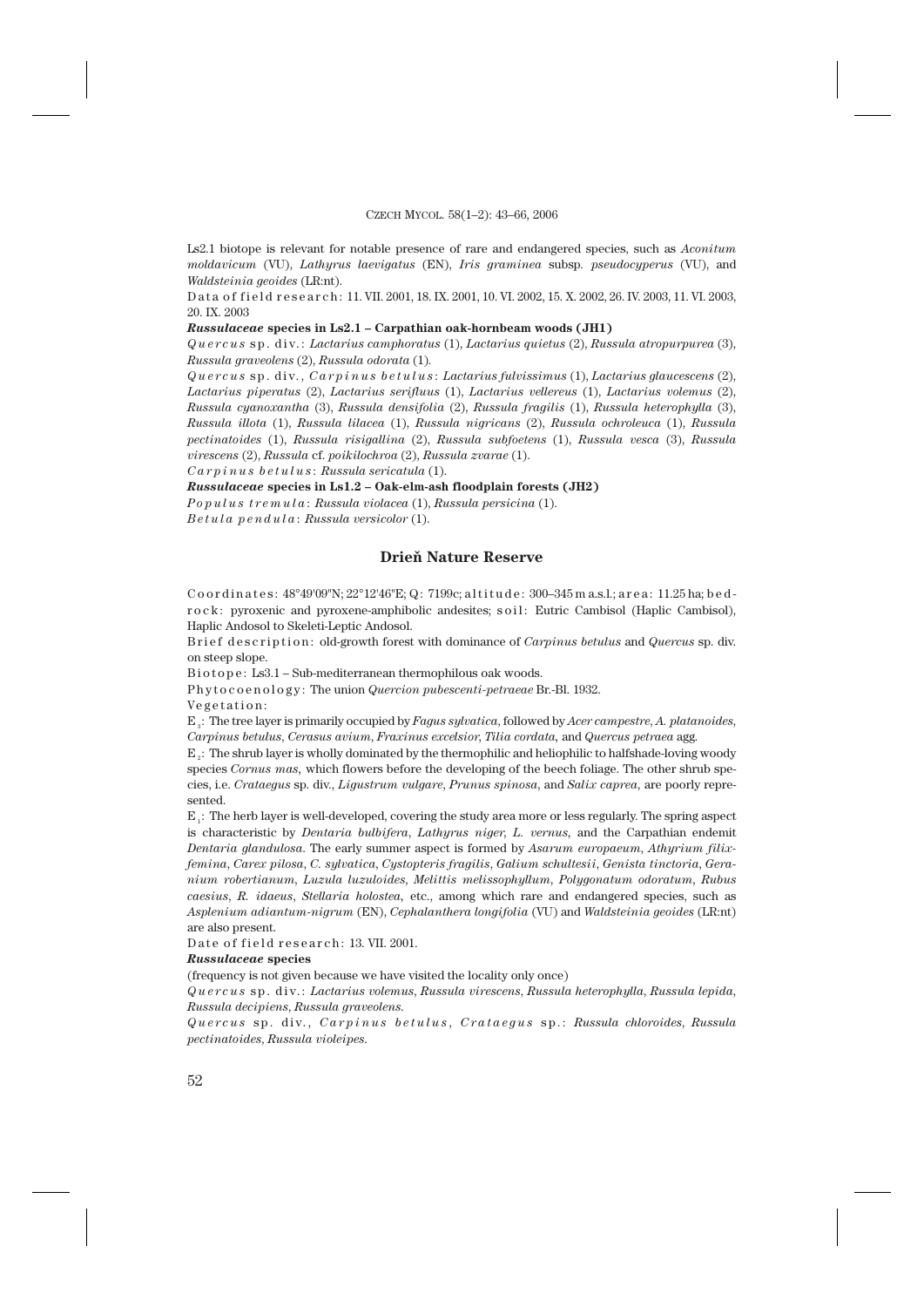Ls2.1 biotope is relevant for notable presence of rare and endangered species, such as *Aconitum moldavicum* (VU), *Lathyrus laevigatus* (EN), *Iris graminea* subsp*. pseudocyperus* (VU), and *Waldsteinia geoides* (LR:nt).

D at a of field research: 11. VII. 2001, 18. IX. 2001, 10. VI. 2002, 15. X. 2002, 26. IV. 2003, 11. VI. 2003, 20. IX. 2003

#### *Russulaceae* **species in Ls2.1 – Carpathian oak-hornbeam woods (JH1)**

*Quercus* sp. div.: *Lactarius camphoratus* (1), *Lactarius quietus* (2), *Russula atropurpurea* (3), *Russula graveolens* (2), *Russula odorata* (1)*.*

*Quercus* sp. div., *Carpinus betulus* : *Lactarius fulvissimus* (1), *Lactarius glaucescens* (2), *Lactarius piperatus* (2), *Lactarius serifluus* (1), *Lactarius vellereus* (1), *Lactarius volemus* (2), *Russula cyanoxantha* (3), *Russula densifolia* (2), *Russula fragilis* (1), *Russula heterophylla* (3), *Russula illota* (1), *Russula lilacea* (1), *Russula nigricans* (2), *Russula ochroleuca* (1), *Russula pectinatoides* (1), *Russula risigallina* (2), *Russula subfoetens* (1), *Russula vesca* (3), *Russula virescens* (2), *Russula* cf. *poikilochroa* (2), *Russula zvarae* (1).

*Carpinus betulus* : *Russula sericatula* (1).

*Russulaceae* **species in Ls1.2 – Oak-elm-ash floodplain forests (JH2)**

*Populus tremula* : *Russula violacea* (1), *Russula persicina* (1).

*Betula pendula* : *Russula versicolor* (1).

### **Drieň Nature Reserve**

Coordinates:  $48^{\circ}49'09''$ N;  $22^{\circ}12'46''E$ ; Q: 7199c; altitude:  $300-345$  m a.s.l.; area: 11.25 ha; bedr o c k : pyroxenic and pyroxene-amphibolic andesites; so il : Eutric Cambisol (Haplic Cambisol), Haplic Andosol to Skeleti-Leptic Andosol.

B rief description: old-growth forest with dominance of *Carpinus betulus* and *Quercus* sp. div. on steep slope.

Biotope: Ls3.1 – Sub-mediterranean thermophilous oak woods.

P h y t o c o e n o l o g y : The union *Quercion pubescenti-petraeae* Br.-Bl. 1932.

Vegetation:

E3 : The tree layer is primarily occupied by *Fagus sylvatica*, followed by *Acer campestre*, *A. platanoides*, *Carpinus betulus*, *Cerasus avium*, *Fraxinus excelsior*, *Tilia cordata,* and *Quercus petraea* agg.

 $E<sub>2</sub>$ : The shrub layer is wholly dominated by the thermophilic and heliophilic to halfshade-loving woody species *Cornus mas,* which flowers before the developing of the beech foliage. The other shrub species, i.e. *Crataegus* sp. div., *Ligustrum vulgare*, *Prunus spinosa*, and *Salix caprea*, are poorly represented.

 $E_i$ : The herb layer is well-developed, covering the study area more or less regularly. The spring aspect is characteristic by *Dentaria bulbifera*, *Lathyrus niger*, *L. vernus,* and the Carpathian endemit *Dentaria glandulosa*. The early summer aspect is formed by *Asarum europaeum*, *Athyrium filixfemina*, *Carex pilosa*, *C. sylvatica*, *Cystopteris fragilis*, *Galium schultesii*, *Genista tinctoria*, *Geranium robertianum*, *Luzula luzuloides*, *Melittis melissophyllum*, *Polygonatum odoratum*, *Rubus caesius*, *R. idaeus*, *Stellaria holostea,* etc., among which rare and endangered species, such as *Asplenium adiantum-nigrum* (EN), *Cephalanthera longifolia* (VU) and *Waldsteinia geoides* (LR:nt) are also present.

Date of field research: 13. VII. 2001.

#### *Russulaceae* **species**

(frequency is not given because we have visited the locality only once)

*Quercus* sp. div.: *Lactarius volemus*, *Russula virescens*, *Russula heterophylla*, *Russula lepida*, *Russula decipiens*, *Russula graveolens*.

*Quercus* sp. div., *Carpinus betulus* , *Crataegus* sp.: *Russula chloroides*, *Russula pectinatoides*, *Russula violeipes*.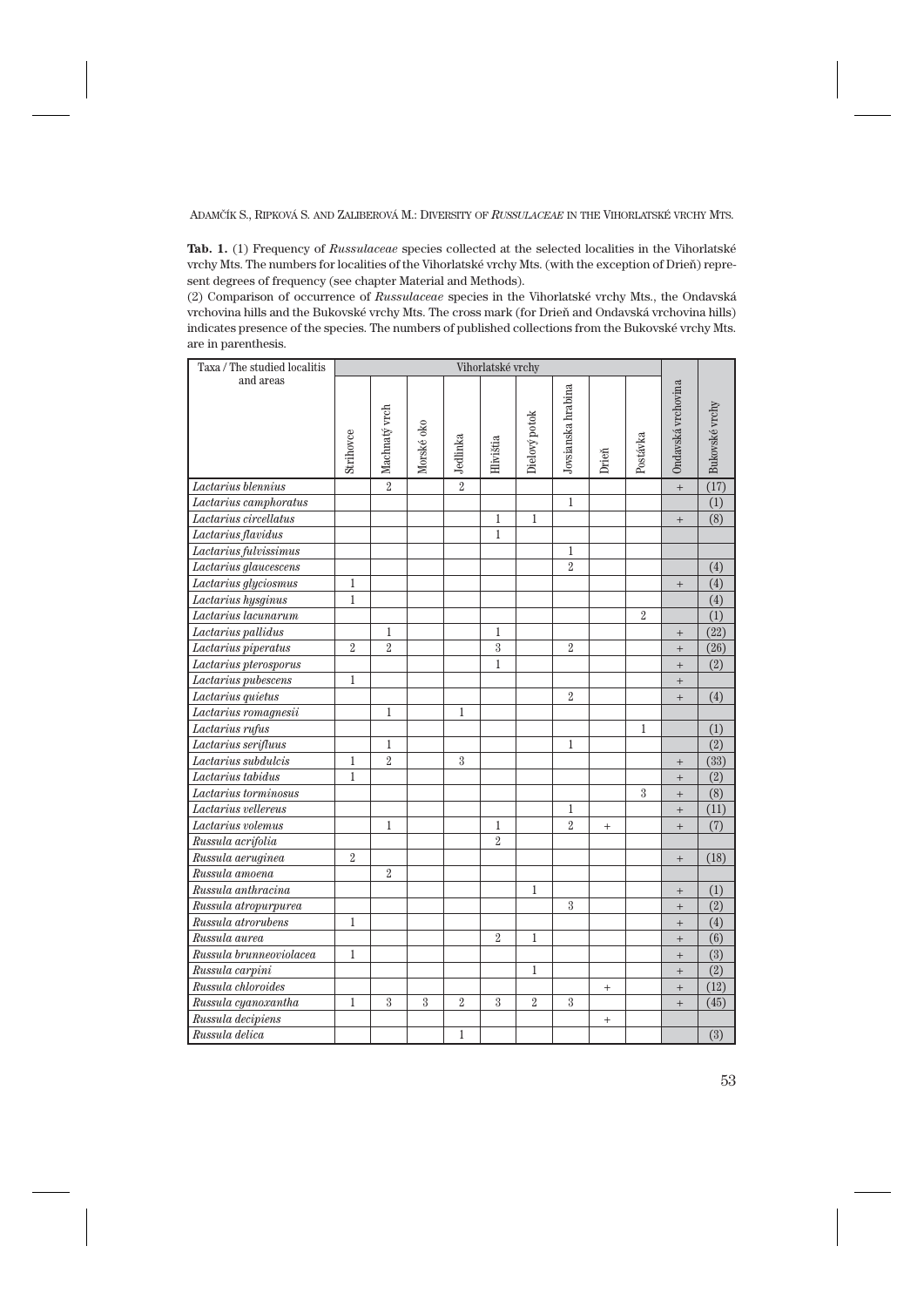**Tab. 1.** (1) Frequency of *Russulaceae* species collected at the selected localities in the Vihorlatské vrchy Mts. The numbers for localities of the Vihorlatské vrchy Mts. (with the exception of Drieň) represent degrees of frequency (see chapter Material and Methods).

(2) Comparison of occurrence of *Russulaceae* species in the Vihorlatské vrchy Mts., the Ondavská vrchovina hills and the Bukovské vrchy Mts. The cross mark (for Drieň and Ondavská vrchovina hills) indicates presence of the species. The numbers of published collections from the Bukovské vrchy Mts. are in parenthesis.

| Taxa / The studied localitis | Vihorlatské vrchy |                |            |                |                         |                |                    |        |                |                    |                |
|------------------------------|-------------------|----------------|------------|----------------|-------------------------|----------------|--------------------|--------|----------------|--------------------|----------------|
| and areas                    | Strihovce         | Machnaty vrch  | Morské oko | Jedlinka       | Hivištia                | Dielový potok  | Jovsianska hrabina | Drieň  | Postávka       | Ondavská vrchovina | Bukovské vrchy |
| Lactarius blennius           |                   | $\overline{2}$ |            | $\overline{2}$ |                         |                |                    |        |                | $\qquad \qquad +$  | (17)           |
| Lactarius camphoratus        |                   |                |            |                |                         |                | $\mathbf{1}$       |        |                |                    | (1)            |
| Lactarius circellatus        |                   |                |            |                | 1                       | $\mathbf{1}$   |                    |        |                | $^{+}$             | (8)            |
| Lactarius flavidus           |                   |                |            |                | $\mathbf{1}$            |                |                    |        |                |                    |                |
| Lactarius fulvissimus        |                   |                |            |                |                         |                | 1                  |        |                |                    |                |
| Lactarius glaucescens        |                   |                |            |                |                         |                | $\overline{2}$     |        |                |                    | (4)            |
| Lactarius glyciosmus         | $\mathbf{1}$      |                |            |                |                         |                |                    |        |                | $^{+}$             | (4)            |
| Lactarius hysginus           | $\mathbf{1}$      |                |            |                |                         |                |                    |        |                |                    | (4)            |
| Lactarius lacunarum          |                   |                |            |                |                         |                |                    |        | $\overline{2}$ |                    | (1)            |
| Lactarius pallidus           |                   | 1              |            |                | 1                       |                |                    |        |                | $^{+}$             | (22)           |
| Lactarius piperatus          | $\overline{2}$    | $\overline{2}$ |            |                | $\overline{\mathbf{3}}$ |                | $\overline{2}$     |        |                | $^{+}$             | (26)           |
| Lactarius pterosporus        |                   |                |            |                | $\mathbf 1$             |                |                    |        |                | $^{+}$             | (2)            |
| Lactarius pubescens          | $\mathbf{1}$      |                |            |                |                         |                |                    |        |                | $\qquad \qquad +$  |                |
| Lactarius quietus            |                   |                |            |                |                         |                | $\overline{2}$     |        |                | $^{+}$             | (4)            |
| Lactarius romagnesii         |                   | 1              |            | 1              |                         |                |                    |        |                |                    |                |
| Lactarius rufus              |                   |                |            |                |                         |                |                    |        | $\mathbf{1}$   |                    | (1)            |
| Lactarius serifluus          |                   | 1              |            |                |                         |                | $\mathbf{1}$       |        |                |                    | (2)            |
| Lactarius subdulcis          | $\mathbf{1}$      | $\overline{2}$ |            | 3              |                         |                |                    |        |                | $^{+}$             | (33)           |
| Lactarius tabidus            | $\mathbf{1}$      |                |            |                |                         |                |                    |        |                | $^{+}$             | (2)            |
| Lactarius torminosus         |                   |                |            |                |                         |                |                    |        | 3              | $^{+}$             | (8)            |
| Lactarius vellereus          |                   |                |            |                |                         |                | 1                  |        |                | $\qquad \qquad +$  | (11)           |
| Lactarius volemus            |                   | $\mathbf{1}$   |            |                | 1                       |                | $\overline{2}$     | $^{+}$ |                | $^{+}$             | (7)            |
| Russula acrifolia            |                   |                |            |                | $\overline{2}$          |                |                    |        |                |                    |                |
| Russula aeruginea            | $\overline{2}$    |                |            |                |                         |                |                    |        |                | $\qquad \qquad +$  | (18)           |
| Russula amoena               |                   | $\overline{2}$ |            |                |                         |                |                    |        |                |                    |                |
| Russula anthracina           |                   |                |            |                |                         | 1              |                    |        |                | $\qquad \qquad +$  | (1)            |
| Russula atropurpurea         |                   |                |            |                |                         |                | 3                  |        |                | $^{+}$             | (2)            |
| Russula atrorubens           | $\,1$             |                |            |                |                         |                |                    |        |                | $\qquad \qquad +$  | (4)            |
| Russula aurea                |                   |                |            |                | $\overline{2}$          | 1              |                    |        |                | $+$                | (6)            |
| Russula brunneoviolacea      | 1                 |                |            |                |                         |                |                    |        |                | $\qquad \qquad +$  | (3)            |
| Russula carpini              |                   |                |            |                |                         | 1              |                    |        |                | $^{+}$             | (2)            |
| Russula chloroides           |                   |                |            |                |                         |                |                    | $^{+}$ |                | $\ddot{}$          | (12)           |
| Russula cyanoxantha          | 1                 | 3              | 3          | $\overline{2}$ | 3                       | $\overline{2}$ | 3                  |        |                | $\qquad \qquad +$  | (45)           |
| Russula decipiens            |                   |                |            |                |                         |                |                    | $^{+}$ |                |                    |                |
| Russula delica               |                   |                |            | 1              |                         |                |                    |        |                |                    | (3)            |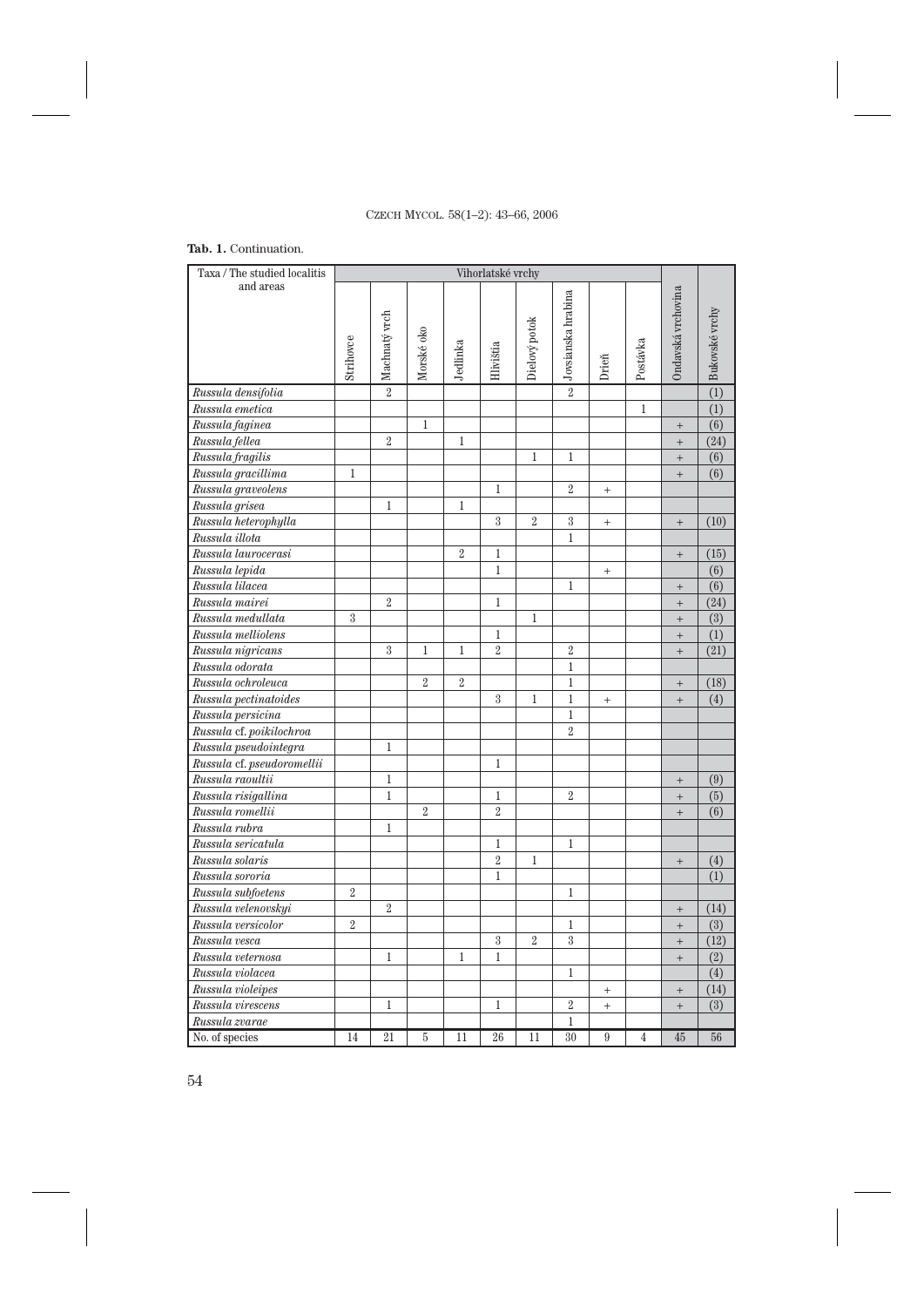# **Tab. 1.** Continuation.

| Taxa / The studied localitis         | Vihorlatské vrchy |                |                |                |                |                |                      |           |                |                    |                                    |
|--------------------------------------|-------------------|----------------|----------------|----------------|----------------|----------------|----------------------|-----------|----------------|--------------------|------------------------------------|
| and areas                            | Strihovce         | Machnaty vrch  | Morské oko     | Jedlinka       | Hlivištia      | Dielový potok  | o Jovsianska hrabina | Drieň     | Postávka       | Ondavská vrchovina | $\boxed{\triangle}$ Bukovské vrchy |
| Russula densifolia                   |                   | $\overline{2}$ |                |                |                |                |                      |           |                |                    |                                    |
| Russula emetica                      |                   |                |                |                |                |                |                      |           | $\mathbf{1}$   |                    | $\overline{(1)}$                   |
| Russula faginea                      |                   |                | $\mathbf{1}$   |                |                |                |                      |           |                | $^{+}$             | (6)                                |
| Russula fellea                       |                   | $\overline{2}$ |                | $\mathbf{1}$   |                |                |                      |           |                | $\overline{+}$     | (24)                               |
| Russula fragilis                     |                   |                |                |                |                | $\mathbf 1$    | $\mathbf 1$          |           |                | $\overline{+}$     | (6)                                |
| Russula gracillima                   | $\mathbf{1}$      |                |                |                |                |                |                      |           |                | $\ddot{}$          | (6)                                |
| Russula graveolens                   |                   |                |                |                | 1              |                | $\overline{2}$       | $^{+}$    |                |                    |                                    |
| Russula grisea                       |                   | $\mathbf{1}$   |                | $\mathbf{1}$   |                |                |                      |           |                |                    |                                    |
| Russula heterophylla                 |                   |                |                |                | 3              | $\overline{2}$ | $\sqrt{3}$           | $^{+}$    |                | $^{+}$             | (10)                               |
| Russula illota                       |                   |                |                |                |                |                | $\mathbf{1}$         |           |                |                    |                                    |
| Russula laurocerasi                  |                   |                |                | $\overline{2}$ | $\mathbf 1$    |                |                      |           |                | $^{+}$             | (15)                               |
| Russula lepida                       |                   |                |                |                | $\mathbf{1}$   |                |                      | $^{+}$    |                |                    | (6)                                |
| Russula lilacea                      |                   |                |                |                |                |                | $\mathbf{1}$         |           |                | $^{+}$             | $\overline{(6)}$                   |
| Russula mairei                       |                   | $\overline{2}$ |                |                | $\mathbf{1}$   |                |                      |           |                | $\ddot{}$          | (24)                               |
| Russula medullata                    | $\overline{3}$    |                |                |                |                | $\mathbf{1}$   |                      |           |                | $\ddot{}$          | $\overline{(3)}$                   |
| Russula melliolens                   |                   |                |                |                | $\mathbf 1$    |                |                      |           |                | $^{+}$             | (1)                                |
| Russula nigricans                    |                   | 3              | 1              | $\mathbf 1$    | $\overline{2}$ |                | $\overline{2}$       |           |                | $^{+}$             | (21)                               |
| Russula odorata                      |                   |                |                |                |                |                | $\mathbf{1}$         |           |                |                    |                                    |
| Russula ochroleuca                   |                   |                | $\overline{2}$ | $\overline{2}$ |                |                | $\mathbf 1$          |           |                | $^{+}$             | (18)                               |
| Russula pectinatoides                |                   |                |                |                | 3              | $\mathbf{1}$   | $\mathbf{1}$         | $^{+}$    |                | $^{+}$             | (4)                                |
| Russula persicina                    |                   |                |                |                |                |                | $\mathbf 1$          |           |                |                    |                                    |
| Russula cf. poikilochroa             |                   |                |                |                |                |                | $\overline{2}$       |           |                |                    |                                    |
| Russula pseudointegra                |                   | $\mathbf 1$    |                |                |                |                |                      |           |                |                    |                                    |
| Russula cf. pseudoromellii           |                   |                |                |                | $\mathbf 1$    |                |                      |           |                |                    |                                    |
| Russula raoultii                     |                   | $\,1$          |                |                |                |                |                      |           |                | $^{+}$             | (9)                                |
| Russula risigallina                  |                   | $\mathbf{1}$   |                |                | $\mathbf 1$    |                | $\overline{2}$       |           |                | $^{+}$             | (5)                                |
| Russula romellii                     |                   |                | $\overline{2}$ |                | $\overline{2}$ |                |                      |           |                | $^{+}$             | (6)                                |
| Russula rubra                        |                   | 1              |                |                |                |                |                      |           |                |                    |                                    |
| Russula sericatula                   |                   |                |                |                | $\mathbf{1}$   |                | $\mathbf{1}$         |           |                |                    |                                    |
| Russula solaris                      |                   |                |                |                | $\overline{2}$ | $\mathbf{1}$   |                      |           |                | $^{+}$             | (4)                                |
| Russula sororia                      |                   |                |                |                | $\mathbf{1}$   |                |                      |           |                |                    | (1)                                |
| Russula subfoetens                   | $\overline{2}$    |                |                |                |                |                | $\mathbf 1$          |           |                |                    |                                    |
| Russula velenovskyi                  |                   | $\overline{2}$ |                |                |                |                |                      |           |                | $^{+}$             | (14)                               |
| Russula versicolor                   | $\overline{2}$    |                |                |                |                |                | $\,1$                |           |                | $\qquad \qquad +$  | $\overline{(3)}$                   |
| $\overline{\mathit{R}}$ ussula vesca |                   |                |                |                | $\sqrt{3}$     | $\overline{2}$ | $\overline{3}$       |           |                | $\qquad \qquad +$  | (12)                               |
| Russula veternosa                    |                   | $\mathbf{1}$   |                | $\mathbf 1$    | $\mathbf{1}$   |                |                      |           |                | $\qquad \qquad +$  | (2)                                |
| Russula violacea                     |                   |                |                |                |                |                | $\mathbf 1$          |           |                |                    | (4)                                |
| Russula violeipes                    |                   |                |                |                |                |                |                      | $\ddot{}$ |                | $\qquad \qquad +$  | (14)                               |
| Russula virescens                    |                   | $\mathbf 1$    |                |                | $\mathbf 1$    |                | $\overline{2}$       | $\ddot{}$ |                | $\ddot{}$          | (3)                                |
| Russula zvarae                       |                   |                |                |                |                |                | $\mathbf{1}$         |           |                |                    |                                    |
| No. of species                       | 14                | 21             | 5              | 11             | 26             | 11             | 30                   | 9         | $\overline{4}$ | 45                 | 56                                 |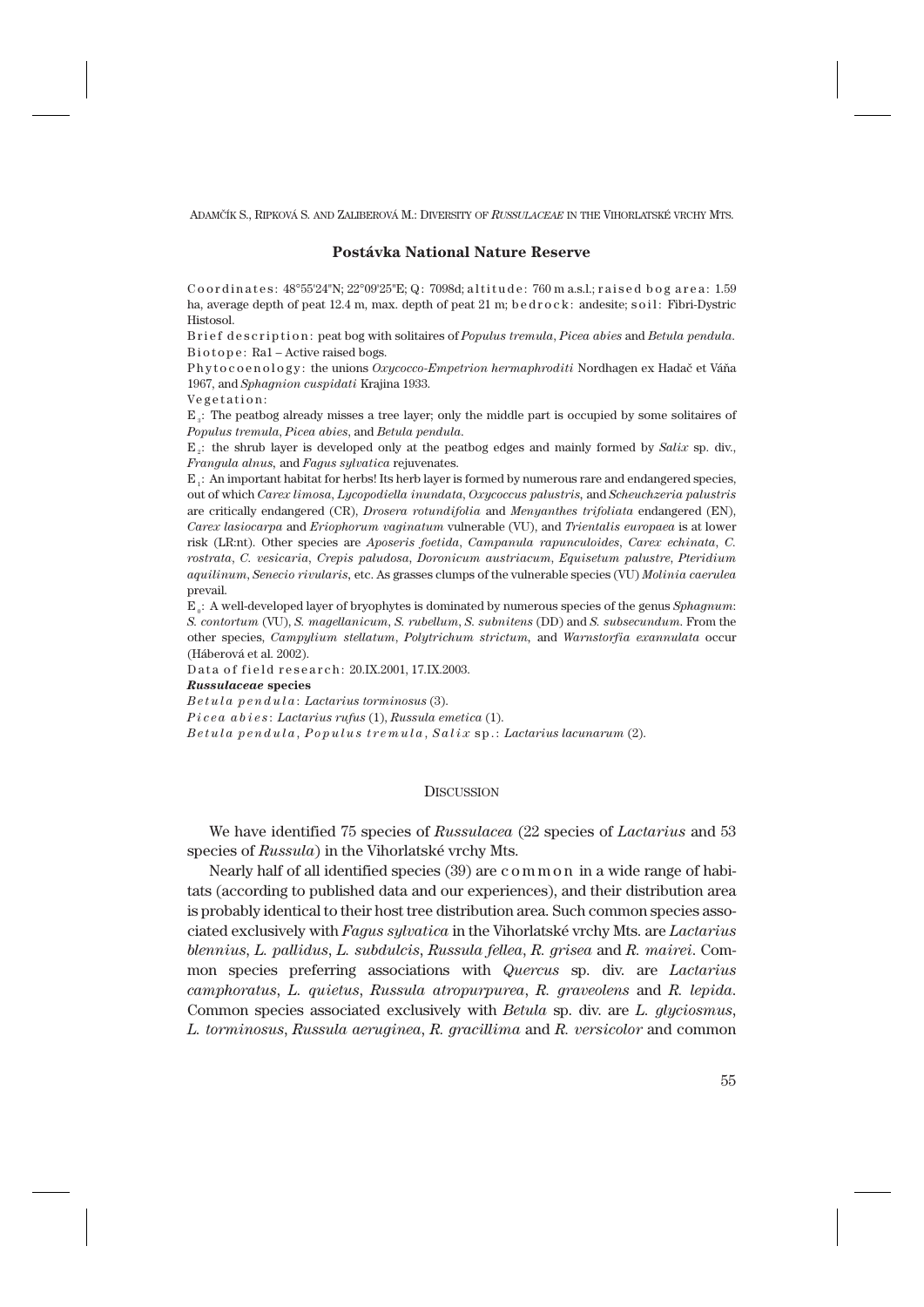# **Postávka National Nature Reserve**

Coordinates:  $48^{\circ}55'24''N$ ;  $22^{\circ}09'25''E$ ; Q: 7098d; altitude: 760 m a.s.l.; raised bog area: 1.59 ha, average depth of peat 12.4 m, max. depth of peat 21 m; b e d r o c k; andesite; s o i l; Fibri-Dystric Histosol.

B rief description: peat bog with solitaires of *Populus tremula*, *Picea abies* and *Betula pendula*. Biotope: Ra1 – Active raised bogs.

Phytocoenology: the unions *Oxycocco-Empetrion hermaphroditi* Nordhagen ex Hadač et Váňa 1967, and *Sphagnion cuspidati* Krajina 1933.

Vegetation:

E3 : The peatbog already misses a tree layer; only the middle part is occupied by some solitaires of *Populus tremula*, *Picea abies*, and *Betula pendula*.

 $E<sub>s</sub>$ : the shrub layer is developed only at the peatbog edges and mainly formed by *Salix* sp. div., *Frangula alnus,* and *Fagus sylvatica* rejuvenates.

 $E_i$ : An important habitat for herbs! Its herb layer is formed by numerous rare and endangered species, out of which *Carex limosa*, *Lycopodiella inundata*, *Oxycoccus palustris,* and *Scheuchzeria palustris* are critically endangered (CR), *Drosera rotundifolia* and *Menyanthes trifoliata* endangered (EN), *Carex lasiocarpa* and *Eriophorum vaginatum* vulnerable (VU), and *Trientalis europaea* is at lower risk (LR:nt). Other species are *Aposeris foetida*, *Campanula rapunculoides*, *Carex echinata*, *C. rostrata*, *C. vesicaria*, *Crepis paludosa*, *Doronicum austriacum*, *Equisetum palustre*, *Pteridium aquilinum*, *Senecio rivularis,* etc. As grasses clumps of the vulnerable species (VU) *Molinia caerulea* prevail.

E0 : A well-developed layer of bryophytes is dominated by numerous species of the genus *Sphagnum*: *S. contortum* (VU), *S. magellanicum*, *S. rubellum*, *S. subnitens* (DD) and *S. subsecundum*. From the other species, *Campylium stellatum*, *Polytrichum strictum,* and *Warnstorfia exannulata* occur (Háberová et al. 2002).

Data of field research: 20.IX.2001, 17.IX.2003.

*Russulaceae* **species**

*Betula pendula* : *Lactarius torminosus* (3).

*Picea abies* : *Lactarius rufus* (1), *Russula emetica* (1).

*Betula pendula* , *Populus tremula* , *Salix* sp.: *Lactarius lacunarum* (2).

### **DISCUSSION**

We have identified 75 species of *Russulacea* (22 species of *Lactarius* and 53 species of *Russula*) in the Vihorlatské vrchy Mts.

Nearly half of all identified species (39) are c o m m o n in a wide range of habitats (according to published data and our experiences), and their distribution area is probably identical to their host tree distribution area. Such common species associated exclusively with *Fagus sylvatica* in the Vihorlatské vrchy Mts. are *Lactarius blennius*, *L. pallidus*, *L. subdulcis*, *Russula fellea*, *R. grisea* and *R. mairei*. Common species preferring associations with *Quercus* sp. div. are *Lactarius camphoratus*, *L. quietus*, *Russula atropurpurea*, *R. graveolens* and *R. lepida*. Common species associated exclusively with *Betula* sp. div. are *L. glyciosmus*, *L. torminosus*, *Russula aeruginea*, *R. gracillima* and *R. versicolor* and common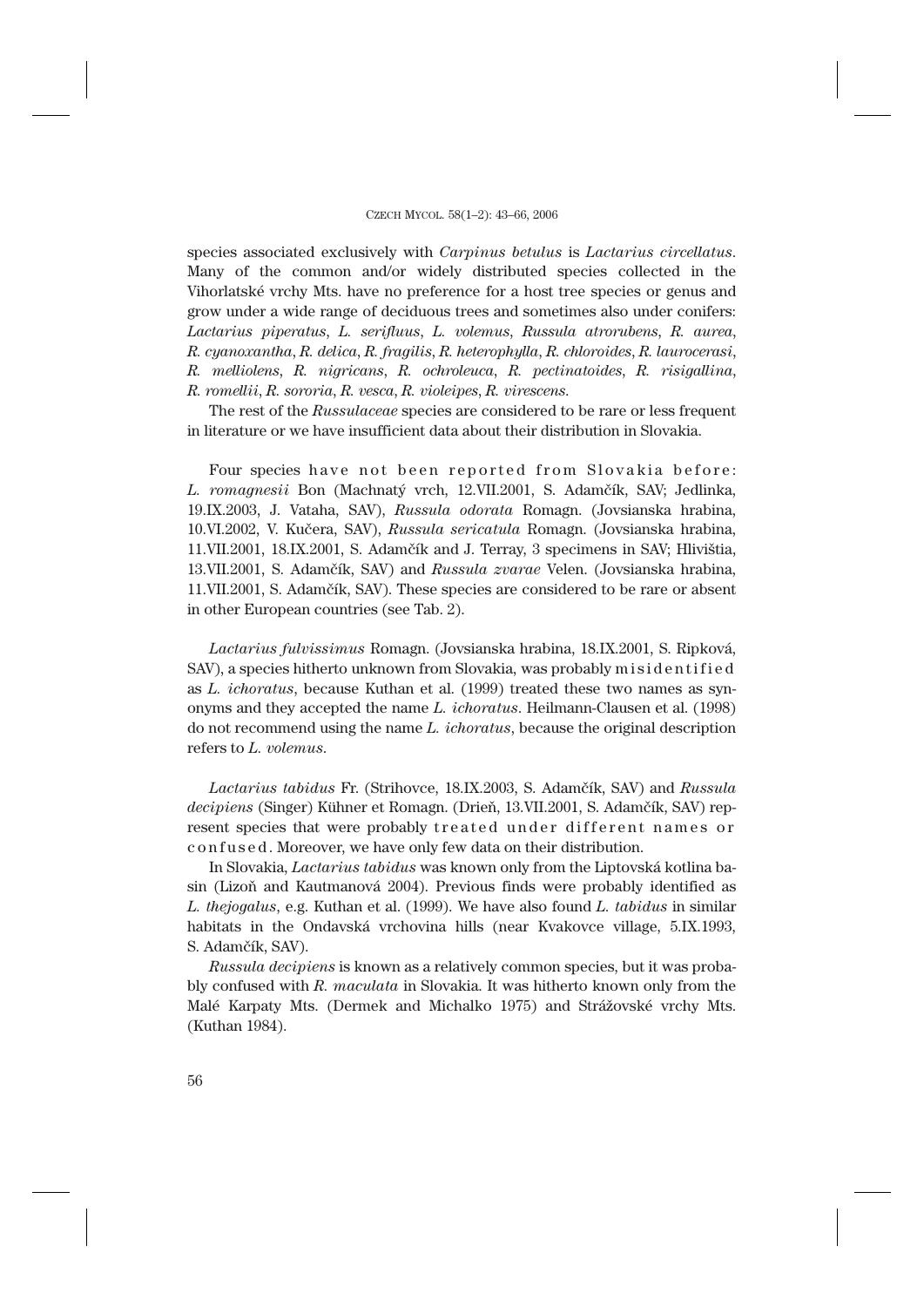species associated exclusively with *Carpinus betulus* is *Lactarius circellatus*. Many of the common and/or widely distributed species collected in the Vihorlatské vrchy Mts. have no preference for a host tree species or genus and grow under a wide range of deciduous trees and sometimes also under conifers: *Lactarius piperatus*, *L. serifluus*, *L. volemus*, *Russula atrorubens*, *R. aurea*, *R. cyanoxantha*, *R. delica*, *R. fragilis*, *R. heterophylla*, *R. chloroides*, *R. laurocerasi*, *R. melliolens*, *R. nigricans*, *R. ochroleuca*, *R. pectinatoides*, *R. risigallina*, *R. romellii*, *R. sororia*, *R. vesca*, *R. violeipes*, *R. virescens*.

The rest of the *Russulaceae* species are considered to be rare or less frequent in literature or we have insufficient data about their distribution in Slovakia.

Four species have not been reported from Slovakia before: *L. romagnesii* Bon (Machnatý vrch, 12.VII.2001, S. Adamčík, SAV; Jedlinka, 19.IX.2003, J. Vataha, SAV), *Russula odorata* Romagn. (Jovsianska hrabina, 10.VI.2002, V. Kučera, SAV), *Russula sericatula* Romagn. (Jovsianska hrabina, 11.VII.2001, 18.IX.2001, S. Adamčík and J. Terray, 3 specimens in SAV; Hlivištia, 13.VII.2001, S. Adamčík, SAV) and *Russula zvarae* Velen. (Jovsianska hrabina, 11.VII.2001, S. Adamčík, SAV). These species are considered to be rare or absent in other European countries (see Tab. 2).

*Lactarius fulvissimus* Romagn. (Jovsianska hrabina, 18.IX.2001, S. Ripková, SAV), a species hitherto unknown from Slovakia, was probably misidentified as *L. ichoratus*, because Kuthan et al. (1999) treated these two names as synonyms and they accepted the name *L. ichoratus*. Heilmann-Clausen et al. (1998) do not recommend using the name *L. ichoratus*, because the original description refers to *L. volemus*.

*Lactarius tabidus* Fr. (Strihovce, 18.IX.2003, S. Adamčík, SAV) and *Russula decipiens* (Singer) Kühner et Romagn. (Drieň, 13.VII.2001, S. Adamčík, SAV) represent species that were probably treated under different names or c o n f u s e d . Moreover, we have only few data on their distribution.

In Slovakia, *Lactarius tabidus* was known only from the Liptovská kotlina basin (Lizoň and Kautmanová 2004). Previous finds were probably identified as *L. thejogalus*, e.g. Kuthan et al. (1999). We have also found *L. tabidus* in similar habitats in the Ondavská vrchovina hills (near Kvakovce village, 5.IX.1993, S. Adamčík, SAV).

*Russula decipiens* is known as a relatively common species, but it was probably confused with *R. maculata* in Slovakia. It was hitherto known only from the Malé Karpaty Mts. (Dermek and Michalko 1975) and Strážovské vrchy Mts. (Kuthan 1984).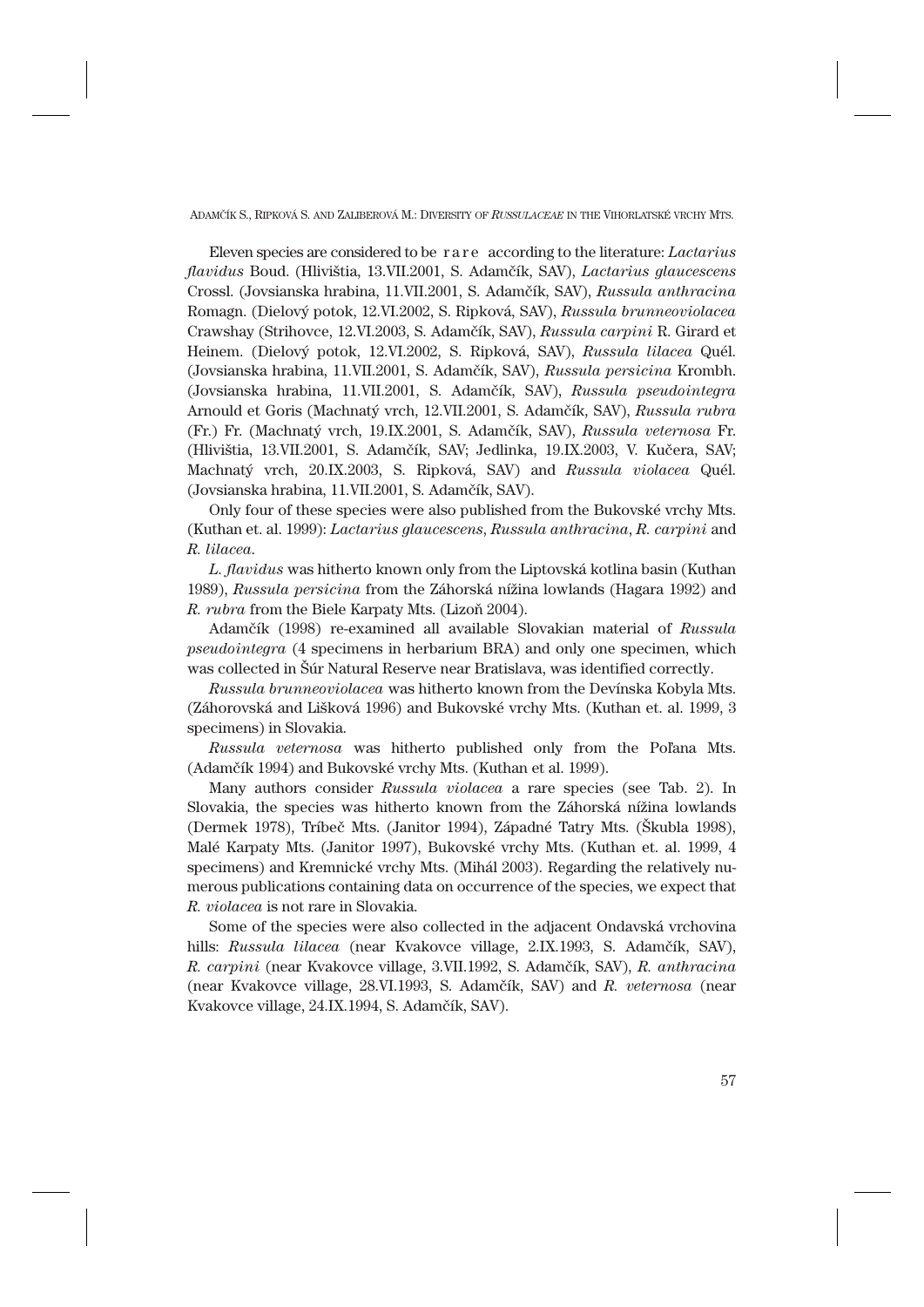Eleven species are considered to be r a r e according to the literature: *Lactarius flavidus* Boud. (Hlivištia, 13.VII.2001, S. Adamčík, SAV), *Lactarius glaucescens* Crossl. (Jovsianska hrabina, 11.VII.2001, S. Adamčík, SAV), *Russula anthracina* Romagn. (Dielový potok, 12.VI.2002, S. Ripková, SAV), *Russula brunneoviolacea* Crawshay (Strihovce, 12.VI.2003, S. Adamčík, SAV), *Russula carpini* R. Girard et Heinem. (Dielový potok, 12.VI.2002, S. Ripková, SAV), *Russula lilacea* Quél. (Jovsianska hrabina, 11.VII.2001, S. Adamčík, SAV), *Russula persicina* Krombh. (Jovsianska hrabina, 11.VII.2001, S. Adamčík, SAV), *Russula pseudointegra* Arnould et Goris (Machnatý vrch, 12.VII.2001, S. Adamčík, SAV), *Russula rubra* (Fr.) Fr. (Machnatý vrch, 19.IX.2001, S. Adamčík, SAV), *Russula veternosa* Fr. (Hlivištia, 13.VII.2001, S. Adamčík, SAV; Jedlinka, 19.IX.2003, V. Kučera, SAV; Machnatý vrch, 20.IX.2003, S. Ripková, SAV) and *Russula violacea* Quél. (Jovsianska hrabina, 11.VII.2001, S. Adamčík, SAV).

Only four of these species were also published from the Bukovské vrchy Mts. (Kuthan et. al. 1999): *Lactarius glaucescens*, *Russula anthracina*, *R. carpini* and *R. lilacea*.

*L. flavidus* was hitherto known only from the Liptovská kotlina basin (Kuthan 1989), *Russula persicina* from the Záhorská nížina lowlands (Hagara 1992) and *R. rubra* from the Biele Karpaty Mts. (Lizoň 2004).

Adamčík (1998) re-examined all available Slovakian material of *Russula pseudointegra* (4 specimens in herbarium BRA) and only one specimen, which was collected in Šúr Natural Reserve near Bratislava, was identified correctly.

*Russula brunneoviolacea* was hitherto known from the Devínska Kobyla Mts. (Záhorovská and Lišková 1996) and Bukovské vrchy Mts. (Kuthan et. al. 1999, 3 specimens) in Slovakia.

*Russula veternosa* was hitherto published only from the Poľana Mts. (Adamčík 1994) and Bukovské vrchy Mts. (Kuthan et al. 1999).

Many authors consider *Russula violacea* a rare species (see Tab. 2). In Slovakia, the species was hitherto known from the Záhorská nížina lowlands (Dermek 1978), Tríbeč Mts. (Janitor 1994), Západné Tatry Mts. (Škubla 1998), Malé Karpaty Mts. (Janitor 1997), Bukovské vrchy Mts. (Kuthan et. al. 1999, 4 specimens) and Kremnické vrchy Mts. (Mihál 2003). Regarding the relatively numerous publications containing data on occurrence of the species, we expect that *R. violacea* is not rare in Slovakia.

Some of the species were also collected in the adjacent Ondavská vrchovina hills: *Russula lilacea* (near Kvakovce village, 2.IX.1993, S. Adamčík, SAV), *R. carpini* (near Kvakovce village, 3.VII.1992, S. Adamčík, SAV), *R. anthracina* (near Kvakovce village, 28.VI.1993, S. Adamčík, SAV) and *R. veternosa* (near Kvakovce village, 24.IX.1994, S. Adamčík, SAV).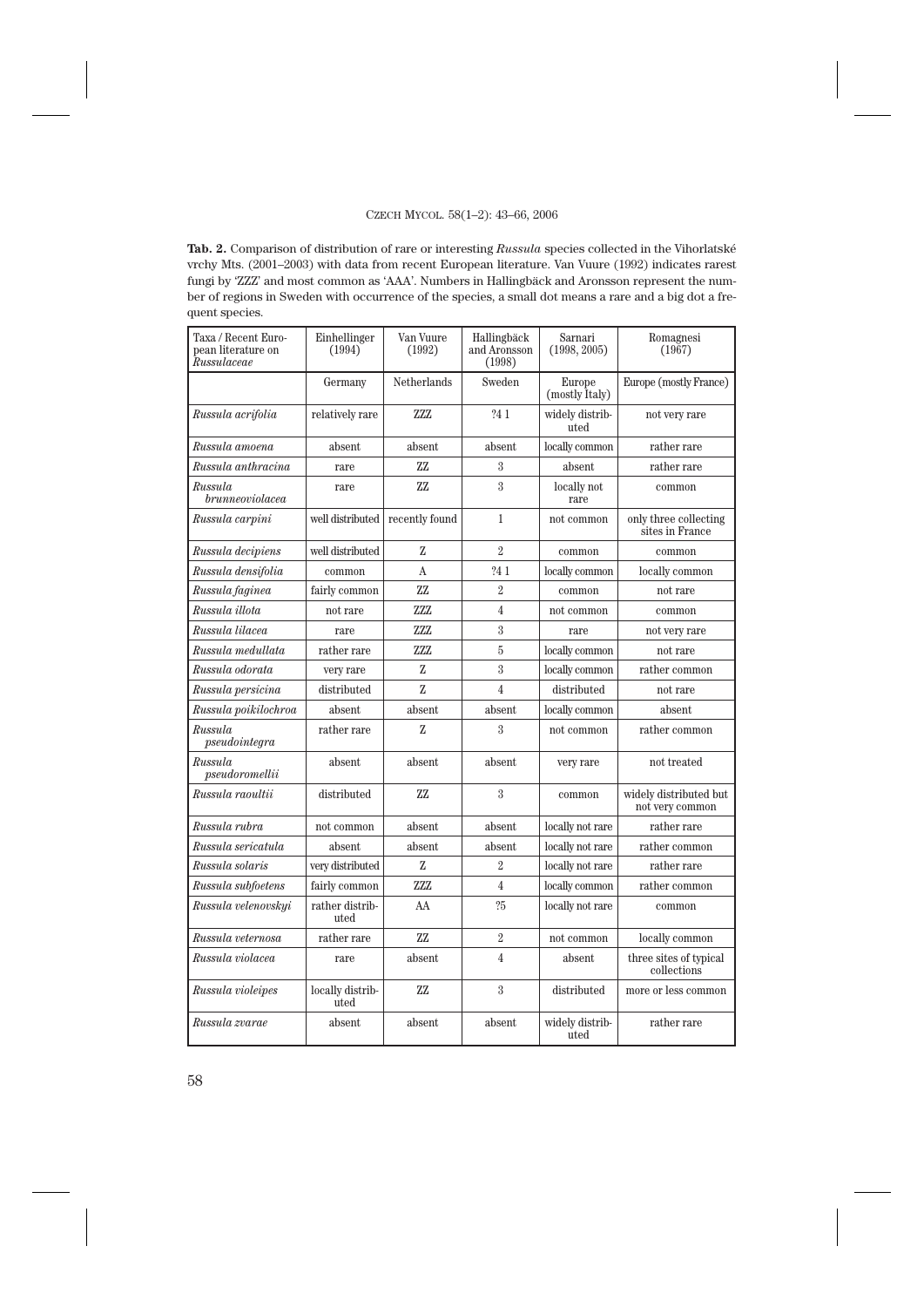**Tab. 2.** Comparison of distribution of rare or interesting *Russula* species collected in the Vihorlatské vrchy Mts. (2001–2003) with data from recent European literature. Van Vuure (1992) indicates rarest fungi by 'ZZZ' and most common as 'AAA'. Numbers in Hallingbäck and Aronsson represent the number of regions in Sweden with occurrence of the species, a small dot means a rare and a big dot a frequent species.

| Taxa / Recent Euro-<br>pean literature on<br>Russulaceae | Einhellinger<br>(1994)   | Van Vuure<br>(1992) | Hallingbäck<br>and Aronsson<br>(1998) | Sarnari<br>(1998, 2005)  | Romagnesi<br>(1967)                       |  |  |
|----------------------------------------------------------|--------------------------|---------------------|---------------------------------------|--------------------------|-------------------------------------------|--|--|
|                                                          | Germany                  | Netherlands         | Sweden                                | Europe<br>(mostly Italy) | Europe (mostly France)                    |  |  |
| Russula acrifolia                                        | relatively rare          | 7.7.7.              | ?41                                   | widely distrib-<br>uted  | not very rare                             |  |  |
| Russula amoena                                           | absent                   | absent              | absent                                | locally common           | rather rare                               |  |  |
| Russula anthracina                                       | rare                     | 77                  | 3                                     | absent                   | rather rare                               |  |  |
| Russula<br>brunneoviolacea                               | rare                     | ZZ.                 | $\mathbf{3}$                          | locally not<br>rare      | common                                    |  |  |
| Russula carpini                                          | well distributed         | recently found      | $\mathbf{1}$                          | not common               | only three collecting<br>sites in France  |  |  |
| Russula decipiens                                        | well distributed         | Z                   | $\overline{2}$                        | common                   | common                                    |  |  |
| Russula densifolia                                       | common                   | A                   | ?4 1                                  | locally common           | locally common                            |  |  |
| Russula faginea                                          | fairly common            | ZZ                  | $\overline{2}$                        | common                   | not rare                                  |  |  |
| Russula illota                                           | not rare                 | ZZZ                 | $\overline{4}$                        | not common               | common                                    |  |  |
| Russula lilacea                                          | rare                     | ZZZ                 | 3                                     | rare                     | not very rare                             |  |  |
| Russula medullata                                        | rather rare              | ZZZ                 | 5                                     | locally common           | not rare                                  |  |  |
| Russula odorata                                          | very rare                | Z                   | 3                                     | locally common           | rather common                             |  |  |
| Russula persicina                                        | distributed              | 7.                  | $\overline{4}$                        | distributed              | not rare                                  |  |  |
| Russula poikilochroa                                     | absent                   | absent              | absent                                | locally common           | absent                                    |  |  |
| Russula<br>pseudointegra                                 | rather rare              | Z                   | 3                                     | not common               | rather common                             |  |  |
| Russula<br>pseudoromelli                                 | absent                   | absent              | absent                                | very rare                | not treated                               |  |  |
| Russula raoultii                                         | distributed              | 77                  | $\mathbf{3}$                          | common                   | widely distributed but<br>not very common |  |  |
| Russula rubra                                            | not common               | absent              | absent                                | locally not rare         | rather rare                               |  |  |
| Russula sericatula                                       | absent                   | absent              | absent                                | locally not rare         | rather common                             |  |  |
| Russula solaris                                          | very distributed         | Z                   | $\overline{2}$                        | locally not rare         | rather rare                               |  |  |
| Russula subfoetens                                       | fairly common            | 7.7.7.              | 4                                     | locally common           | rather common                             |  |  |
| Russula velenovskyi                                      | rather distrib-<br>uted  | AA                  | ?5                                    | locally not rare         | common                                    |  |  |
| Russula veternosa                                        | rather rare              | ZZ                  | $\overline{2}$                        | not common               | locally common                            |  |  |
| Russula violacea                                         | rare                     | absent              | 4                                     | absent                   | three sites of typical<br>collections     |  |  |
| Russula violeipes                                        | locally distrib-<br>uted | ZZ.                 | 3                                     | distributed              | more or less common                       |  |  |
| Russula zvarae                                           | absent                   | absent              | absent                                | widely distrib-<br>uted  | rather rare                               |  |  |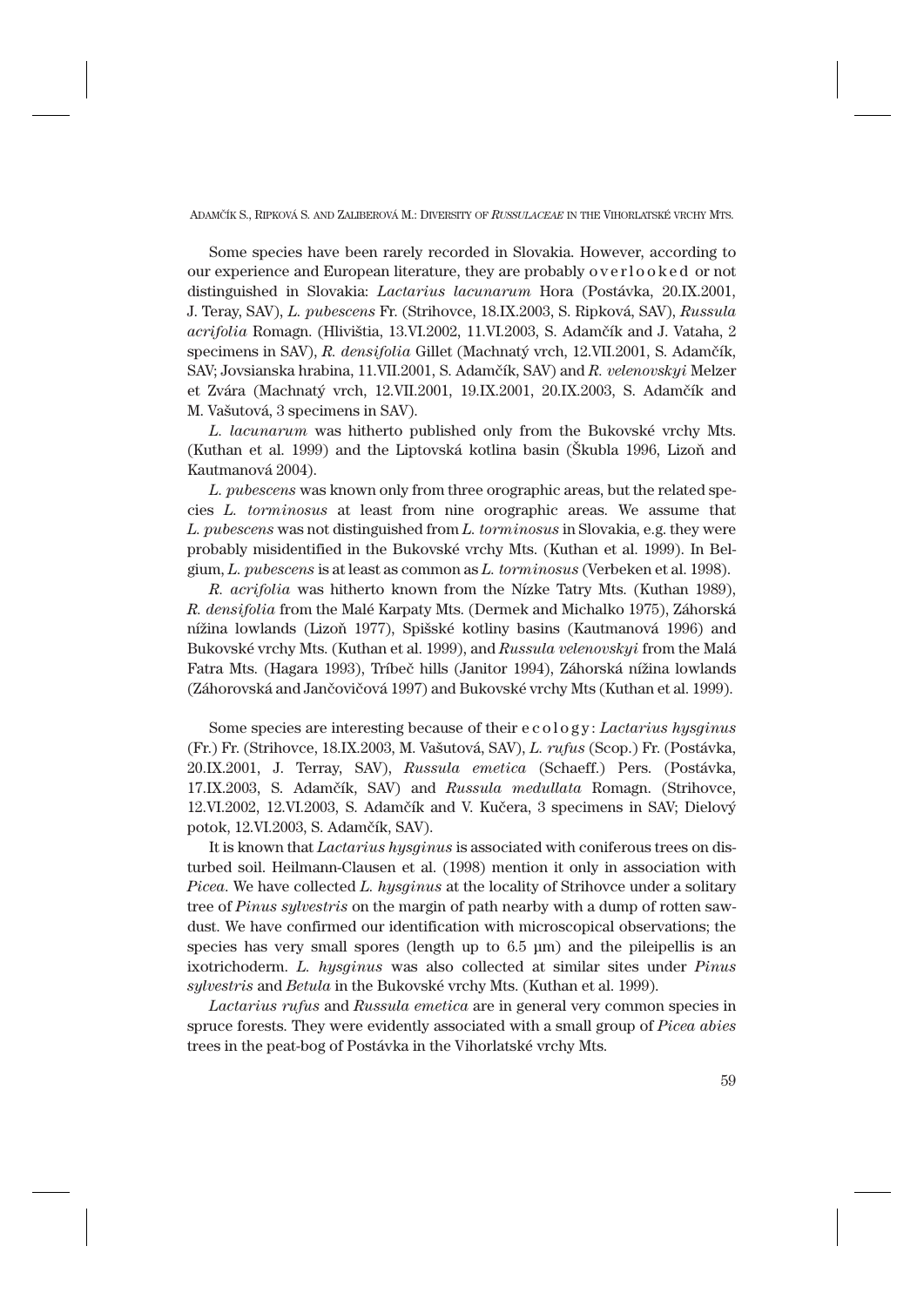Some species have been rarely recorded in Slovakia. However, according to our experience and European literature, they are probably overlooked or not distinguished in Slovakia: *Lactarius lacunarum* Hora (Postávka, 20.IX.2001, J. Teray, SAV), *L. pubescens* Fr. (Strihovce, 18.IX.2003, S. Ripková, SAV), *Russula acrifolia* Romagn. (Hlivištia, 13.VI.2002, 11.VI.2003, S. Adamčík and J. Vataha, 2 specimens in SAV), *R. densifolia* Gillet (Machnatý vrch, 12.VII.2001, S. Adamčík, SAV; Jovsianska hrabina, 11.VII.2001, S. Adamčík, SAV) and *R. velenovskyi* Melzer et Zvára (Machnatý vrch, 12.VII.2001, 19.IX.2001, 20.IX.2003, S. Adamčík and M. Vašutová, 3 specimens in SAV).

*L. lacunarum* was hitherto published only from the Bukovské vrchy Mts. (Kuthan et al. 1999) and the Liptovská kotlina basin (Škubla 1996, Lizoň and Kautmanová 2004).

*L. pubescens* was known only from three orographic areas, but the related species *L. torminosus* at least from nine orographic areas. We assume that *L. pubescens* was not distinguished from *L. torminosus* in Slovakia, e.g. they were probably misidentified in the Bukovské vrchy Mts. (Kuthan et al. 1999). In Belgium, *L. pubescens* is at least as common as *L. torminosus* (Verbeken et al. 1998).

*R. acrifolia* was hitherto known from the Nízke Tatry Mts. (Kuthan 1989), *R. densifolia* from the Malé Karpaty Mts. (Dermek and Michalko 1975), Záhorská nížina lowlands (Lizoň 1977), Spišské kotliny basins (Kautmanová 1996) and Bukovské vrchy Mts. (Kuthan et al. 1999), and *Russula velenovskyi* from the Malá Fatra Mts. (Hagara 1993), Tríbeč hills (Janitor 1994), Záhorská nížina lowlands (Záhorovská and Jančovičová 1997) and Bukovské vrchy Mts (Kuthan et al. 1999).

Some species are interesting because of their e c o l o g y : *Lactarius hysginus* (Fr.) Fr. (Strihovce, 18.IX.2003, M. Vašutová, SAV), *L. rufus* (Scop.) Fr. (Postávka, 20.IX.2001, J. Terray, SAV), *Russula emetica* (Schaeff.) Pers. (Postávka, 17.IX.2003, S. Adamčík, SAV) and *Russula medullata* Romagn. (Strihovce, 12.VI.2002, 12.VI.2003, S. Adamčík and V. Kučera, 3 specimens in SAV; Dielový potok, 12.VI.2003, S. Adamčík, SAV).

It is known that *Lactarius hysginus* is associated with coniferous trees on disturbed soil. Heilmann-Clausen et al. (1998) mention it only in association with *Picea*. We have collected *L. hysginus* at the locality of Strihovce under a solitary tree of *Pinus sylvestris* on the margin of path nearby with a dump of rotten sawdust. We have confirmed our identification with microscopical observations; the species has very small spores (length up to  $6.5 \mu m$ ) and the pileipellis is an ixotrichoderm. *L. hysginus* was also collected at similar sites under *Pinus sylvestris* and *Betula* in the Bukovské vrchy Mts. (Kuthan et al. 1999).

*Lactarius rufus* and *Russula emetica* are in general very common species in spruce forests. They were evidently associated with a small group of *Picea abies* trees in the peat-bog of Postávka in the Vihorlatské vrchy Mts.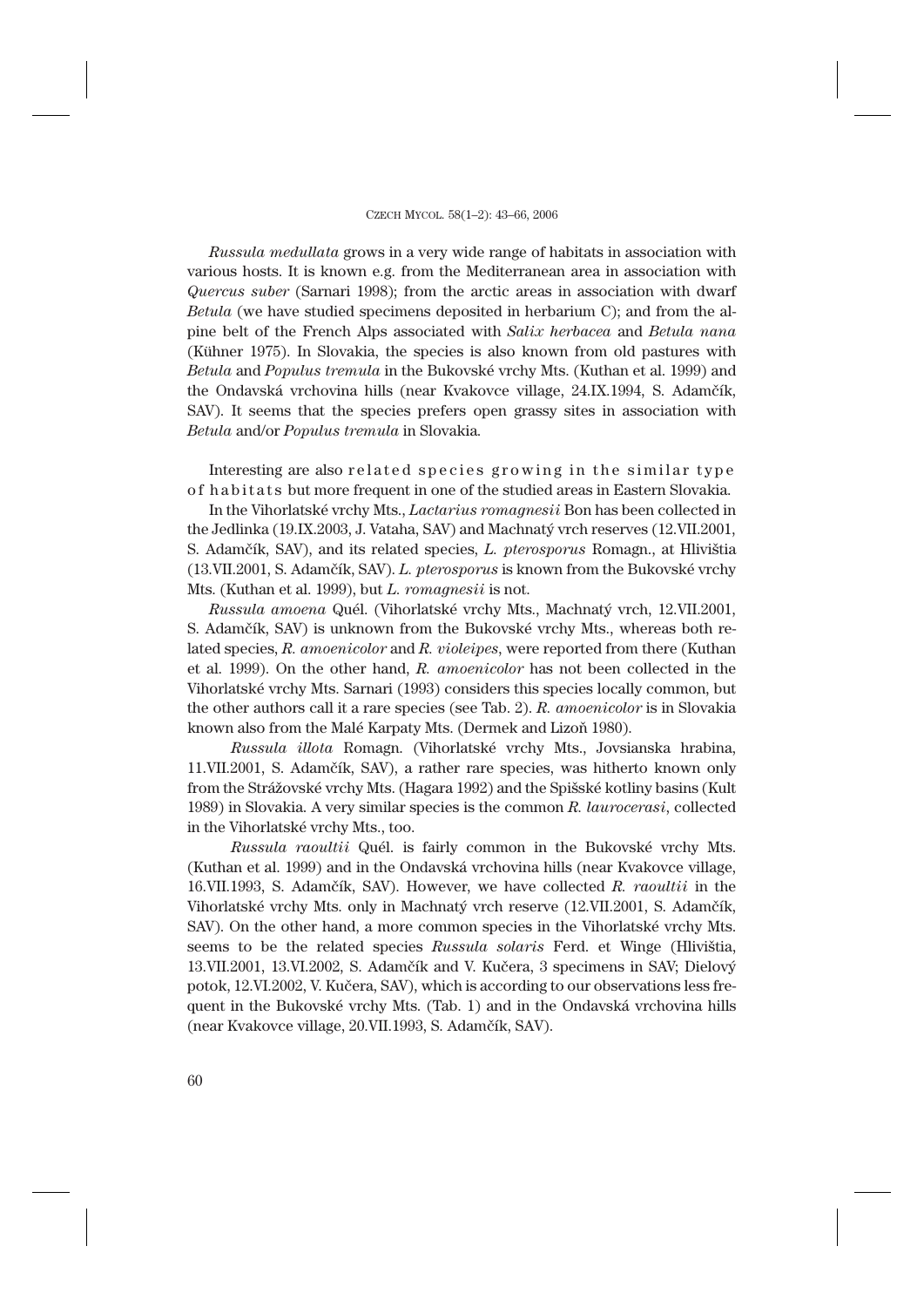*Russula medullata* grows in a very wide range of habitats in association with various hosts. It is known e.g. from the Mediterranean area in association with *Quercus suber* (Sarnari 1998); from the arctic areas in association with dwarf *Betula* (we have studied specimens deposited in herbarium C); and from the alpine belt of the French Alps associated with *Salix herbacea* and *Betula nana* (Kühner 1975). In Slovakia, the species is also known from old pastures with *Betula* and *Populus tremula* in the Bukovské vrchy Mts. (Kuthan et al. 1999) and the Ondavská vrchovina hills (near Kvakovce village, 24.IX.1994, S. Adamčík, SAV). It seems that the species prefers open grassy sites in association with *Betula* and/or *Populus tremula* in Slovakia*.*

Interesting are also related species growing in the similar type of habitats but more frequent in one of the studied areas in Eastern Slovakia.

In the Vihorlatské vrchy Mts., *Lactarius romagnesii* Bon has been collected in the Jedlinka (19.IX.2003, J. Vataha, SAV) and Machnatý vrch reserves (12.VII.2001, S. Adamčík, SAV), and its related species, *L. pterosporus* Romagn., at Hlivištia (13.VII.2001, S. Adamčík, SAV). *L. pterosporus* is known from the Bukovské vrchy Mts. (Kuthan et al. 1999), but *L. romagnesii* is not.

*Russula amoena* Quél. (Vihorlatské vrchy Mts., Machnatý vrch, 12.VII.2001, S. Adamčík, SAV) is unknown from the Bukovské vrchy Mts., whereas both related species, *R. amoenicolor* and *R. violeipes*, were reported from there (Kuthan et al. 1999). On the other hand, *R. amoenicolor* has not been collected in the Vihorlatské vrchy Mts. Sarnari (1993) considers this species locally common, but the other authors call it a rare species (see Tab. 2). *R. amoenicolor* is in Slovakia known also from the Malé Karpaty Mts. (Dermek and Lizoň 1980).

*Russula illota* Romagn. (Vihorlatské vrchy Mts., Jovsianska hrabina, 11.VII.2001, S. Adamčík, SAV), a rather rare species, was hitherto known only from the Strážovské vrchy Mts. (Hagara 1992) and the Spišské kotliny basins (Kult 1989) in Slovakia. A very similar species is the common *R. laurocerasi*, collected in the Vihorlatské vrchy Mts., too.

*Russula raoultii* Quél. is fairly common in the Bukovské vrchy Mts. (Kuthan et al. 1999) and in the Ondavská vrchovina hills (near Kvakovce village, 16.VII.1993, S. Adamčík, SAV). However, we have collected *R. raoultii* in the Vihorlatské vrchy Mts. only in Machnatý vrch reserve (12.VII.2001, S. Adamčík, SAV). On the other hand, a more common species in the Vihorlatské vrchy Mts. seems to be the related species *Russula solaris* Ferd. et Winge (Hlivištia, 13.VII.2001, 13.VI.2002, S. Adamčík and V. Kučera, 3 specimens in SAV; Dielový potok, 12.VI.2002, V. Kučera, SAV), which is according to our observations less frequent in the Bukovské vrchy Mts. (Tab. 1) and in the Ondavská vrchovina hills (near Kvakovce village, 20.VII.1993, S. Adamčík, SAV).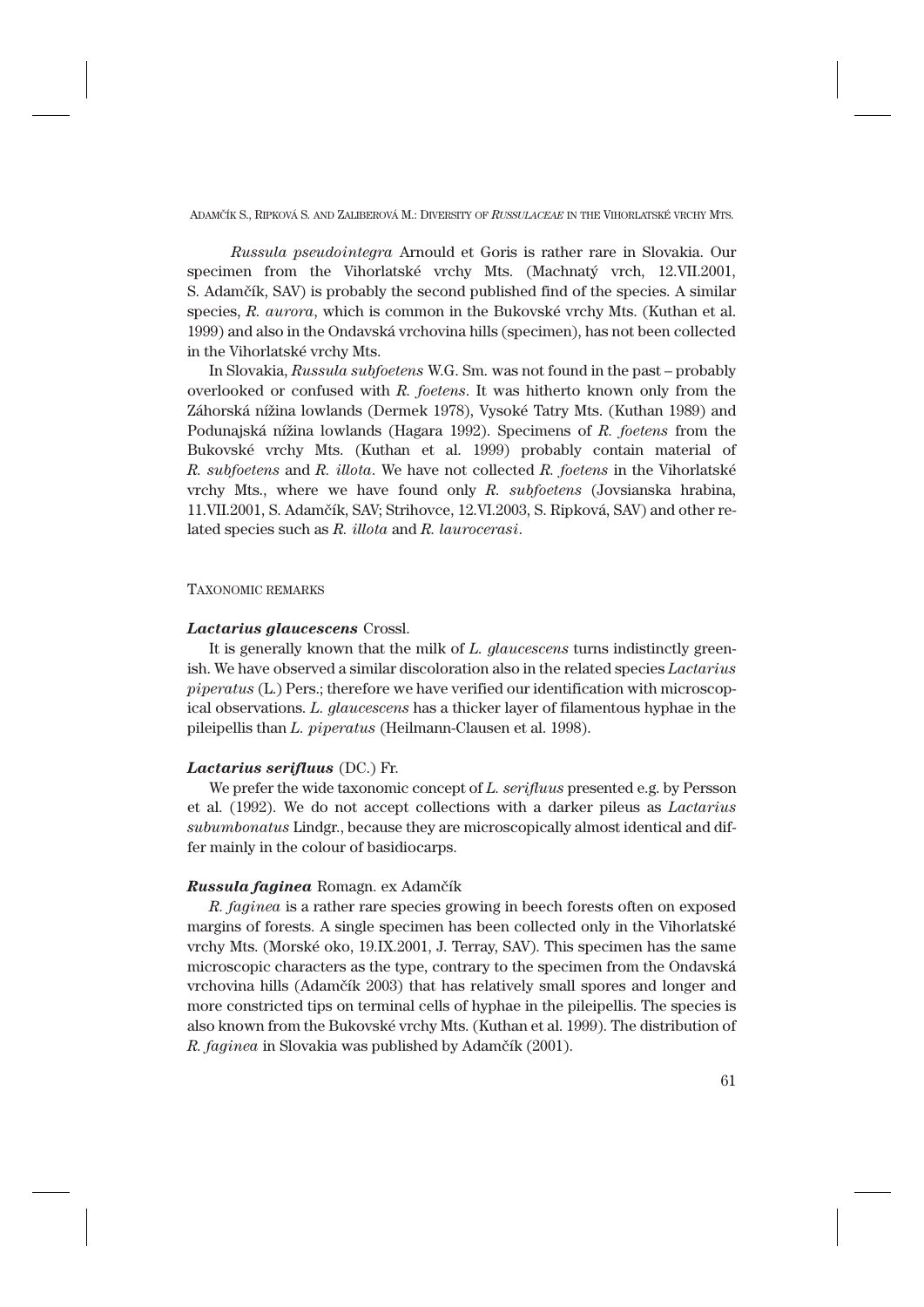*Russula pseudointegra* Arnould et Goris is rather rare in Slovakia. Our specimen from the Vihorlatské vrchy Mts. (Machnatý vrch, 12.VII.2001, S. Adamčík, SAV) is probably the second published find of the species. A similar species, *R. aurora*, which is common in the Bukovské vrchy Mts. (Kuthan et al. 1999) and also in the Ondavská vrchovina hills (specimen), has not been collected in the Vihorlatské vrchy Mts.

In Slovakia, *Russula subfoetens* W.G. Sm. was not found in the past – probably overlooked or confused with *R. foetens*. It was hitherto known only from the Záhorská nížina lowlands (Dermek 1978), Vysoké Tatry Mts. (Kuthan 1989) and Podunajská nížina lowlands (Hagara 1992). Specimens of *R. foetens* from the Bukovské vrchy Mts. (Kuthan et al. 1999) probably contain material of *R. subfoetens* and *R. illota*. We have not collected *R. foetens* in the Vihorlatské vrchy Mts., where we have found only *R. subfoetens* (Jovsianska hrabina, 11.VII.2001, S. Adamčík, SAV; Strihovce, 12.VI.2003, S. Ripková, SAV) and other related species such as *R. illota* and *R. laurocerasi*.

# TAXONOMIC REMARKS

# *Lactarius glaucescens* Crossl.

It is generally known that the milk of *L. glaucescens* turns indistinctly greenish. We have observed a similar discoloration also in the related species *Lactarius piperatus* (L.) Pers.; therefore we have verified our identification with microscopical observations. *L. glaucescens* has a thicker layer of filamentous hyphae in the pileipellis than *L. piperatus* (Heilmann-Clausen et al. 1998).

## *Lactarius serifluus* (DC.) Fr.

We prefer the wide taxonomic concept of *L. serifluus* presented e.g. by Persson et al. (1992). We do not accept collections with a darker pileus as *Lactarius subumbonatus* Lindgr., because they are microscopically almost identical and differ mainly in the colour of basidiocarps.

### *Russula faginea* Romagn. ex Adamčík

*R. faginea* is a rather rare species growing in beech forests often on exposed margins of forests. A single specimen has been collected only in the Vihorlatské vrchy Mts. (Morské oko, 19.IX.2001, J. Terray, SAV). This specimen has the same microscopic characters as the type, contrary to the specimen from the Ondavská vrchovina hills (Adamčík 2003) that has relatively small spores and longer and more constricted tips on terminal cells of hyphae in the pileipellis. The species is also known from the Bukovské vrchy Mts. (Kuthan et al. 1999). The distribution of *R. faginea* in Slovakia was published by Adamčík (2001).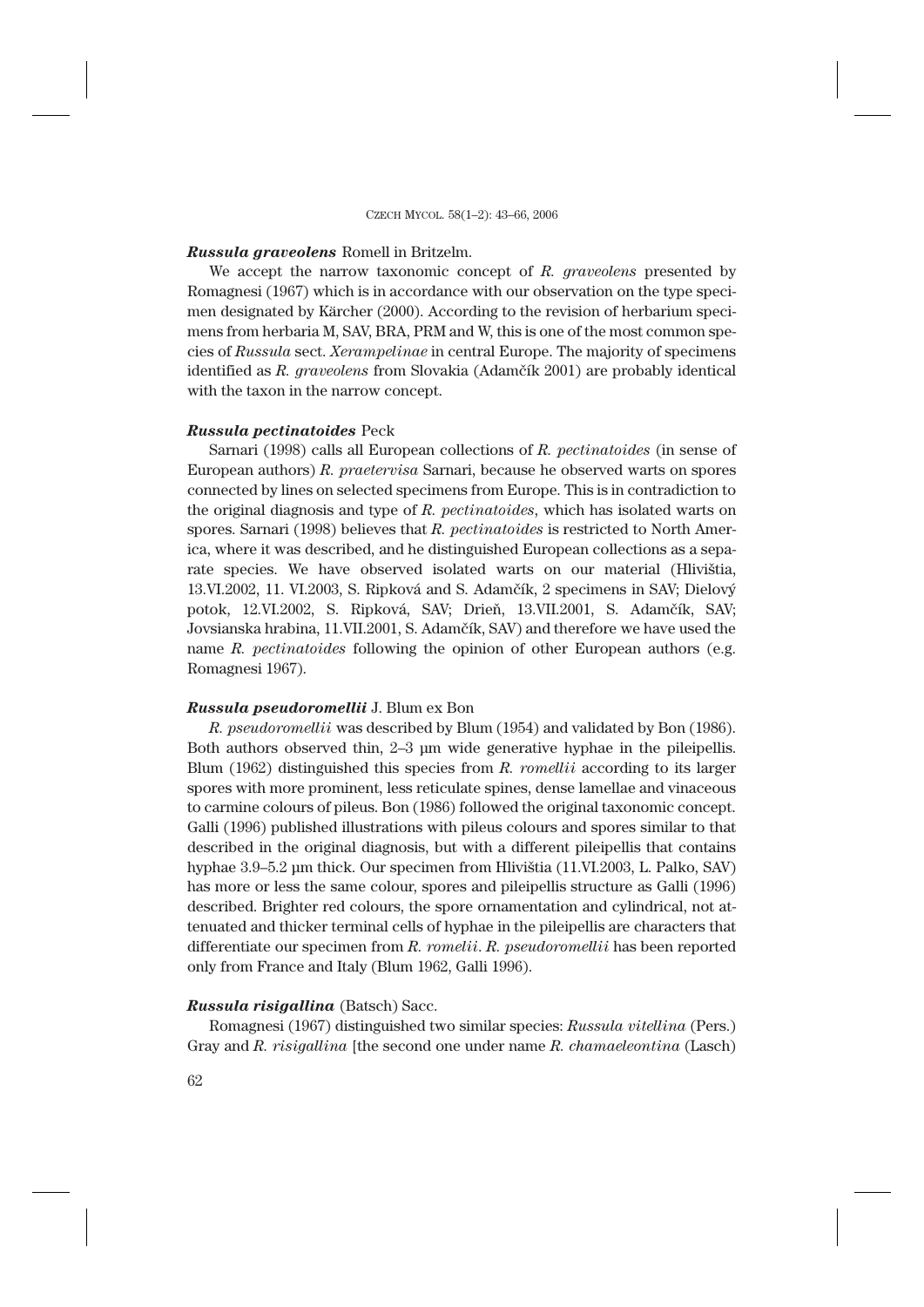# *Russula graveolens* Romell in Britzelm.

We accept the narrow taxonomic concept of *R. graveolens* presented by Romagnesi (1967) which is in accordance with our observation on the type specimen designated by Kärcher (2000). According to the revision of herbarium specimens from herbaria M, SAV, BRA, PRM and W, this is one of the most common species of *Russula* sect. *Xerampelinae* in central Europe. The majority of specimens identified as *R. graveolens* from Slovakia (Adamčík 2001) are probably identical with the taxon in the narrow concept.

### *Russula pectinatoides* Peck

Sarnari (1998) calls all European collections of *R. pectinatoides* (in sense of European authors) *R. praetervisa* Sarnari, because he observed warts on spores connected by lines on selected specimens from Europe. This is in contradiction to the original diagnosis and type of *R. pectinatoides*, which has isolated warts on spores. Sarnari (1998) believes that *R. pectinatoides* is restricted to North America, where it was described, and he distinguished European collections as a separate species. We have observed isolated warts on our material (Hlivištia, 13.VI.2002, 11. VI.2003, S. Ripková and S. Adamčík, 2 specimens in SAV; Dielový potok, 12.VI.2002, S. Ripková, SAV; Drieň, 13.VII.2001, S. Adamčík, SAV; Jovsianska hrabina, 11.VII.2001, S. Adamčík, SAV) and therefore we have used the name *R. pectinatoides* following the opinion of other European authors (e.g. Romagnesi 1967).

### *Russula pseudoromellii* J. Blum ex Bon

*R. pseudoromellii* was described by Blum (1954) and validated by Bon (1986). Both authors observed thin, 2–3 μm wide generative hyphae in the pileipellis. Blum (1962) distinguished this species from *R. romellii* according to its larger spores with more prominent, less reticulate spines, dense lamellae and vinaceous to carmine colours of pileus. Bon (1986) followed the original taxonomic concept. Galli (1996) published illustrations with pileus colours and spores similar to that described in the original diagnosis, but with a different pileipellis that contains hyphae 3.9–5.2 μm thick. Our specimen from Hlivištia (11.VI.2003, L. Palko, SAV) has more or less the same colour, spores and pileipellis structure as Galli (1996) described. Brighter red colours, the spore ornamentation and cylindrical, not attenuated and thicker terminal cells of hyphae in the pileipellis are characters that differentiate our specimen from *R. romelii*. *R. pseudoromellii* has been reported only from France and Italy (Blum 1962, Galli 1996).

# *Russula risigallina* (Batsch) Sacc.

Romagnesi (1967) distinguished two similar species: *Russula vitellina* (Pers.) Gray and *R. risigallina* [the second one under name *R. chamaeleontina* (Lasch)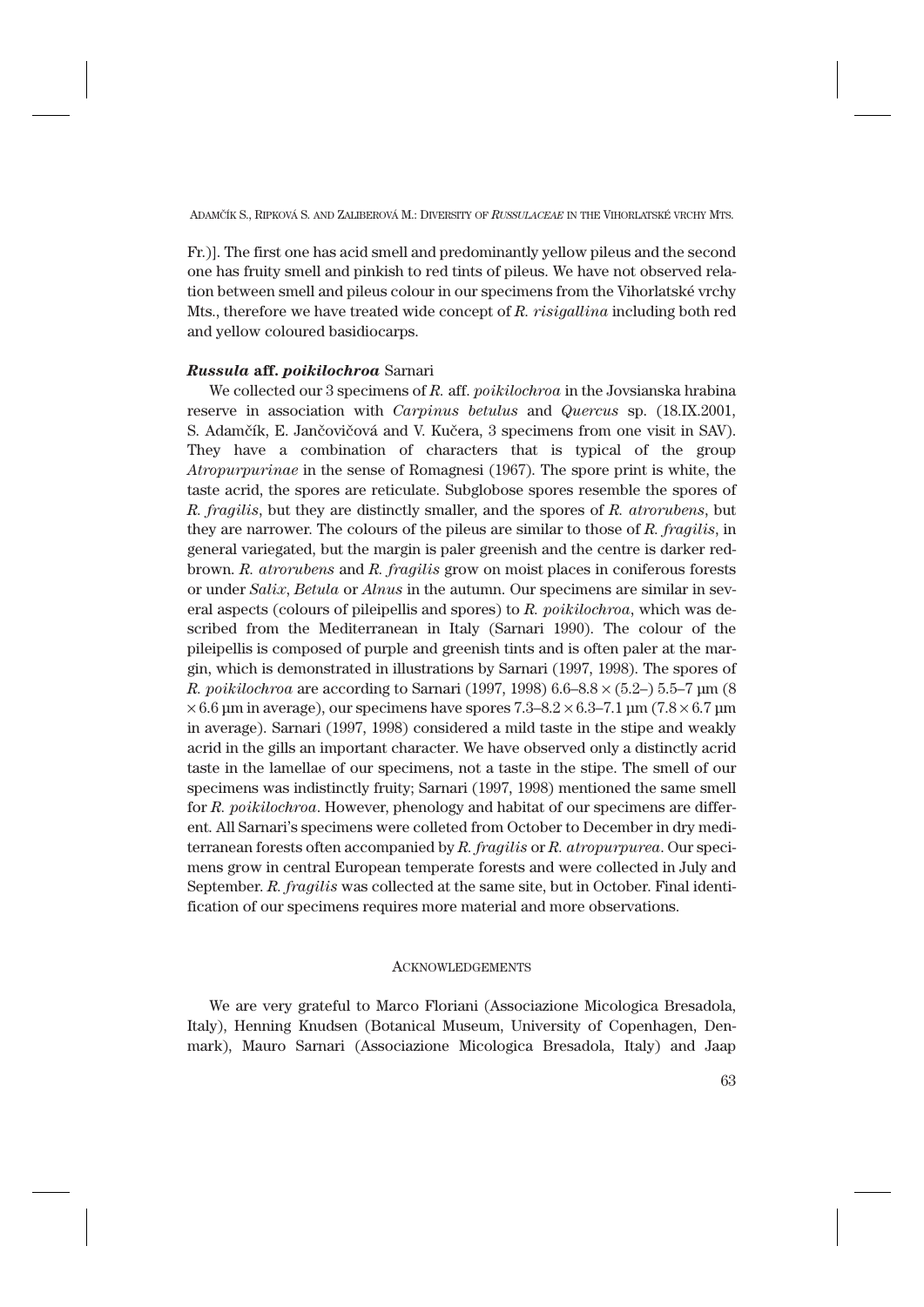Fr.)]. The first one has acid smell and predominantly yellow pileus and the second one has fruity smell and pinkish to red tints of pileus. We have not observed relation between smell and pileus colour in our specimens from the Vihorlatské vrchy Mts., therefore we have treated wide concept of *R. risigallina* including both red and yellow coloured basidiocarps.

# *Russula* **aff.** *poikilochroa* Sarnari

We collected our 3 specimens of *R.* aff. *poikilochroa* in the Jovsianska hrabina reserve in association with *Carpinus betulus* and *Quercus* sp. (18.IX.2001, S. Adamčík, E. Jančovičová and V. Kučera, 3 specimens from one visit in SAV). They have a combination of characters that is typical of the group *Atropurpurinae* in the sense of Romagnesi (1967). The spore print is white, the taste acrid, the spores are reticulate. Subglobose spores resemble the spores of *R. fragilis*, but they are distinctly smaller, and the spores of *R. atrorubens*, but they are narrower. The colours of the pileus are similar to those of *R. fragilis*, in general variegated, but the margin is paler greenish and the centre is darker redbrown. *R. atrorubens* and *R. fragilis* grow on moist places in coniferous forests or under *Salix*, *Betula* or *Alnus* in the autumn. Our specimens are similar in several aspects (colours of pileipellis and spores) to *R. poikilochroa*, which was described from the Mediterranean in Italy (Sarnari 1990). The colour of the pileipellis is composed of purple and greenish tints and is often paler at the margin, which is demonstrated in illustrations by Sarnari (1997, 1998). The spores of *R. poikilochroa* are according to Sarnari (1997, 1998) 6.6–8.8 × (5.2–) 5.5–7 μm (8  $\times$  6.6 μm in average), our specimens have spores 7.3–8.2  $\times$  6.3–7.1 μm (7.8  $\times$  6.7 μm in average). Sarnari (1997, 1998) considered a mild taste in the stipe and weakly acrid in the gills an important character. We have observed only a distinctly acrid taste in the lamellae of our specimens, not a taste in the stipe. The smell of our specimens was indistinctly fruity; Sarnari (1997, 1998) mentioned the same smell for *R. poikilochroa*. However, phenology and habitat of our specimens are different. All Sarnari's specimens were colleted from October to December in dry mediterranean forests often accompanied by *R. fragilis* or *R. atropurpurea*. Our specimens grow in central European temperate forests and were collected in July and September. *R. fragilis* was collected at the same site, but in October. Final identification of our specimens requires more material and more observations.

### **ACKNOWLEDGEMENTS**

We are very grateful to Marco Floriani (Associazione Micologica Bresadola, Italy), Henning Knudsen (Botanical Museum, University of Copenhagen, Denmark), Mauro Sarnari (Associazione Micologica Bresadola, Italy) and Jaap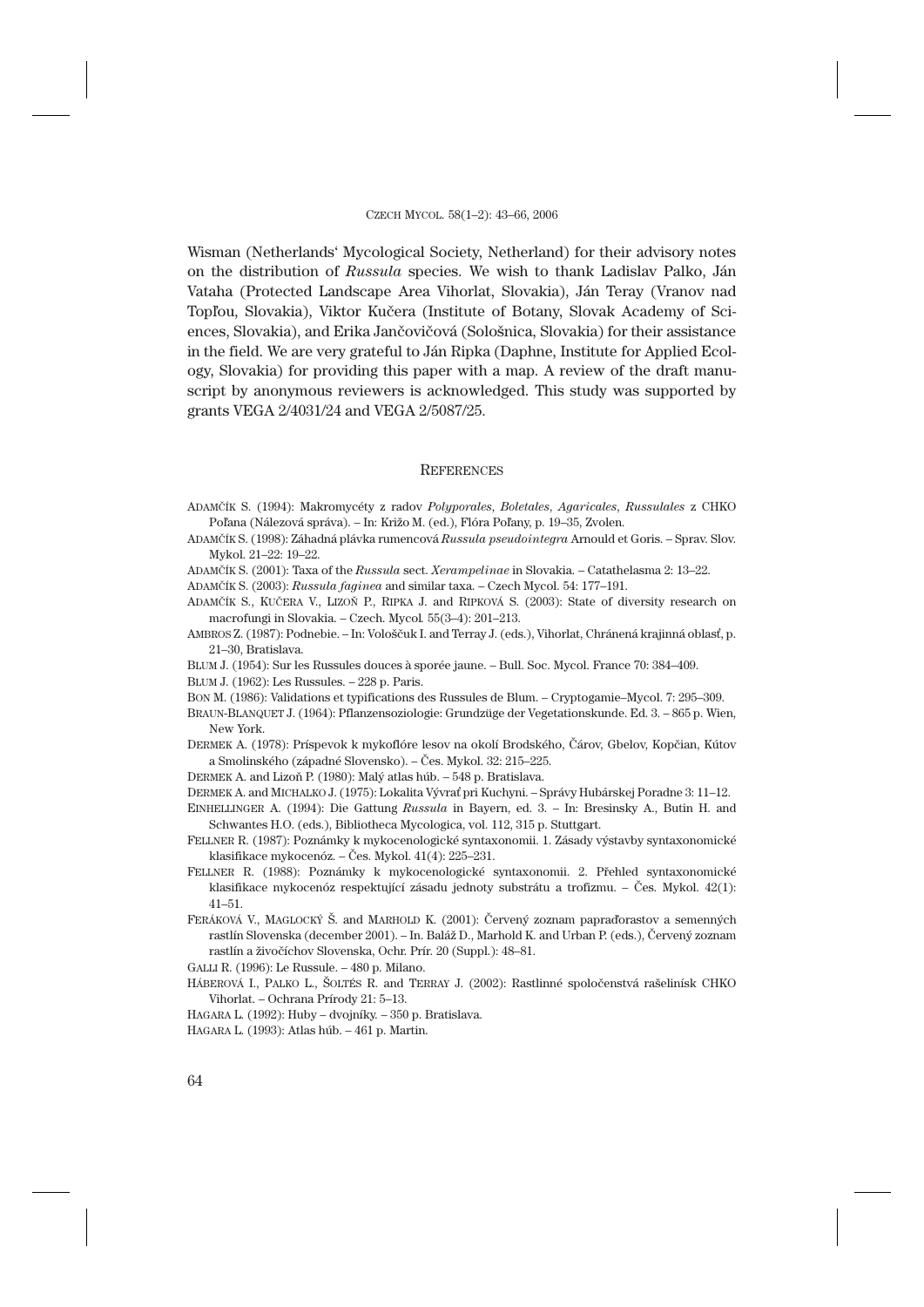Wisman (Netherlands' Mycological Society, Netherland) for their advisory notes on the distribution of *Russula* species. We wish to thank Ladislav Palko, Ján Vataha (Protected Landscape Area Vihorlat, Slovakia), Ján Teray (Vranov nad Topľou, Slovakia), Viktor Kučera (Institute of Botany, Slovak Academy of Sciences, Slovakia), and Erika Jančovičová (Sološnica, Slovakia) for their assistance in the field. We are very grateful to Ján Ripka (Daphne, Institute for Applied Ecology, Slovakia) for providing this paper with a map. A review of the draft manuscript by anonymous reviewers is acknowledged. This study was supported by grants VEGA 2/4031/24 and VEGA 2/5087/25.

#### **REFERENCES**

- ADAMČÍK S. (1994): Makromycéty z radov *Polyporales*, *Boletales*, *Agaricales*, *Russulales* z CHKO Poľana (Nálezová správa). – In: Križo M. (ed.), Flóra Poľany, p. 19–35, Zvolen.
- ADAMČÍK S. (1998): Záhadná plávka rumencová *Russula pseudointegra* Arnould et Goris. Sprav. Slov. Mykol. 21–22: 19–22.
- ADAMČÍK S. (2001): Taxa of the *Russula* sect. *Xerampelinae* in Slovakia. Catathelasma 2: 13–22.
- ADAMČÍK S. (2003): *Russula faginea* and similar taxa. Czech Mycol. 54: 177–191.
- ADAMČÍK S., KUČERA V., LIZOŇ P., RIPKA J. and RIPKOVÁ S. (2003): State of diversity research on macrofungi in Slovakia. – Czech. Mycol*.* 55(3–4): 201–213.
- AMBROS Z. (1987): Podnebie. In: Vološčuk I. and Terray J. (eds.), Vihorlat, Chránená krajinná oblasť, p. 21–30, Bratislava.
- BLUM J. (1954): Sur les Russules douces à sporée jaune. Bull. Soc. Mycol. France 70: 384–409.
- BLUM J. (1962): Les Russules. 228 p. Paris.
- BON M. (1986): Validations et typifications des Russules de Blum. Cryptogamie–Mycol. 7: 295–309.
- BRAUN-BLANQUET J. (1964): Pflanzensoziologie: Grundzüge der Vegetationskunde. Ed. 3. 865 p. Wien, New York.
- DERMEK A. (1978): Príspevok k mykoflóre lesov na okolí Brodského, Čárov, Gbelov, Kopčian, Kútov a Smolinského (západné Slovensko). – Čes. Mykol. 32: 215–225.
- DERMEK A. and Lizoň P. (1980): Malý atlas húb. 548 p. Bratislava.
- DERMEK A. and MICHALKO J. (1975): Lokalita Vývrať pri Kuchyni. Správy Hubárskej Poradne 3: 11–12.
- EINHELLINGER A. (1994): Die Gattung *Russula* in Bayern, ed. 3. In: Bresinsky A., Butin H. and Schwantes H.O. (eds.), Bibliotheca Mycologica, vol. 112, 315 p. Stuttgart.
- FELLNER R. (1987): Poznámky k mykocenologické syntaxonomii. 1. Zásady výstavby syntaxonomické klasifikace mykocenóz. – Čes. Mykol. 41(4): 225–231.
- FELLNER R. (1988): Poznámky k mykocenologické syntaxonomii. 2. Přehled syntaxonomické klasifikace mykocenóz respektující zásadu jednoty substrátu a trofizmu. – Čes. Mykol. 42(1): 41–51.
- FERÁKOVÁ V., MAGLOCKÝ Š. and MARHOLD K. (2001): Červený zoznam papraďorastov a semenných rastlín Slovenska (december 2001). – In. Baláž D., Marhold K. and Urban P. (eds.), Červený zoznam rastlín a živočíchov Slovenska, Ochr. Prír. 20 (Suppl.): 48–81.
- GALLI R. (1996): Le Russule. 480 p. Milano.
- HÁBEROVÁ I., PALKO L., ŠOLTÉS R. and TERRAY J. (2002): Rastlinné spoločenstvá rašelinísk CHKO Vihorlat. – Ochrana Prírody 21: 5–13.
- HAGARA L. (1992): Huby dvojníky. 350 p. Bratislava.
- HAGARA L. (1993): Atlas húb. 461 p. Martin.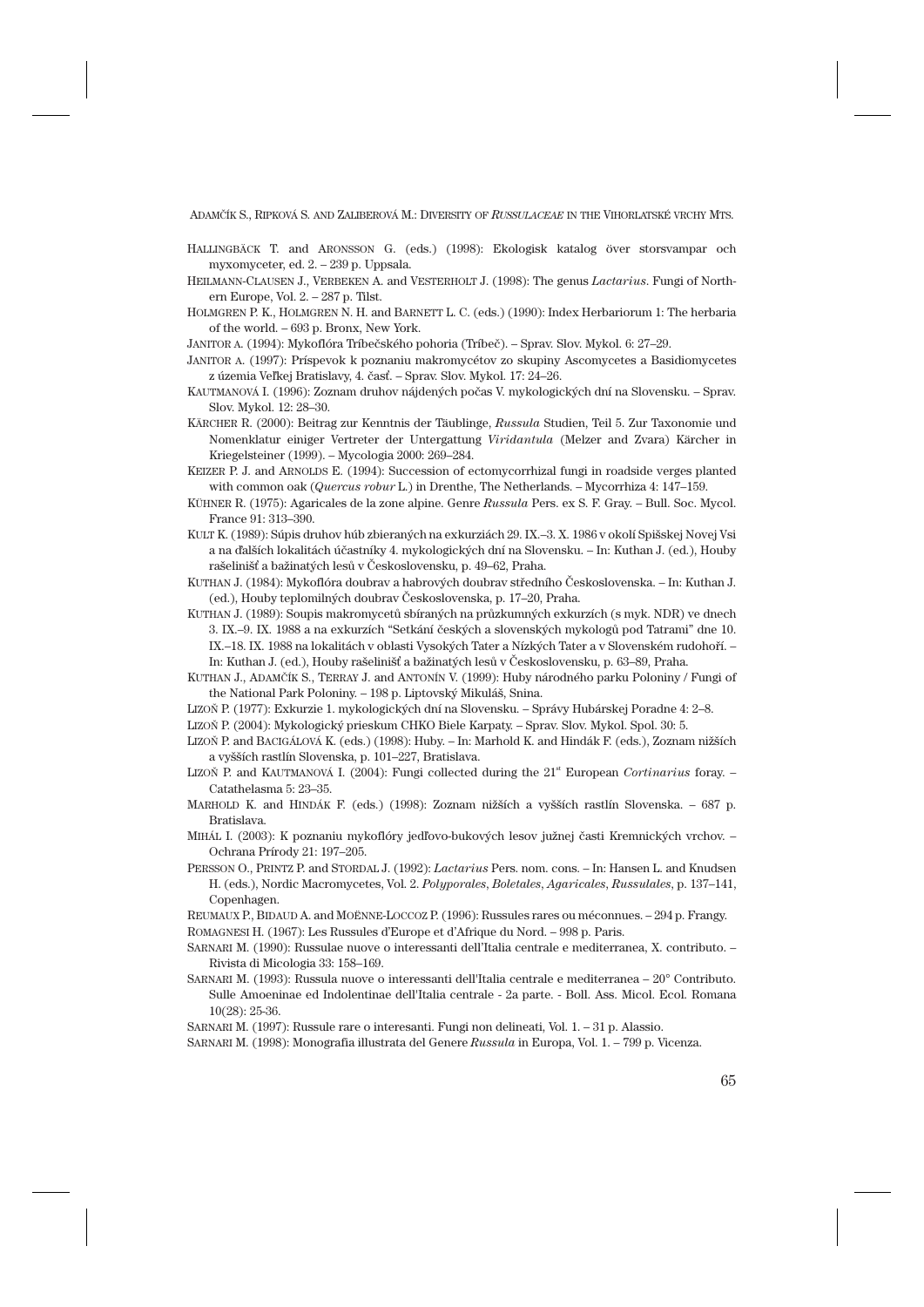- HALLINGBÄCK T. and ARONSSON G. (eds.) (1998): Ekologisk katalog över storsvampar och myxomyceter, ed. 2. – 239 p. Uppsala.
- HEILMANN-CLAUSEN J., VERBEKEN A. and VESTERHOLT J. (1998): The genus *Lactarius*. Fungi of Northern Europe, Vol. 2. – 287 p. Tilst.
- HOLMGREN P. K., HOLMGREN N. H. and BARNETT L. C. (eds.) (1990): Index Herbariorum 1: The herbaria of the world. – 693 p. Bronx, New York.
- JANITOR A. (1994): Mykoflóra Tríbečského pohoria (Tríbeč). Sprav. Slov. Mykol. 6: 27–29.
- JANITOR A. (1997): Príspevok k poznaniu makromycétov zo skupiny Ascomycetes a Basidiomycetes z územia Veľkej Bratislavy, 4. časť. – Sprav. Slov. Mykol. 17: 24–26.
- KAUTMANOVÁ I. (1996): Zoznam druhov nájdených počas V. mykologických dní na Slovensku. Sprav. Slov. Mykol. 12: 28–30.
- KÄRCHER R. (2000): Beitrag zur Kenntnis der Täublinge, *Russula* Studien, Teil 5. Zur Taxonomie und Nomenklatur einiger Vertreter der Untergattung *Viridantula* (Melzer and Zvara) Kärcher in Kriegelsteiner (1999). – Mycologia 2000: 269–284.
- KEIZER P. J. and ARNOLDS E. (1994): Succession of ectomycorrhizal fungi in roadside verges planted with common oak (*Quercus robur* L.) in Drenthe, The Netherlands. – Mycorrhiza 4: 147–159.
- KÜHNER R. (1975): Agaricales de la zone alpine. Genre *Russula* Pers. ex S. F. Gray. Bull. Soc. Mycol. France 91: 313–390.
- KULT K. (1989): Súpis druhov húb zbieraných na exkurziách 29. IX.–3. X. 1986 v okolí Spišskej Novej Vsi a na ďalších lokalitách účastníky 4. mykologických dní na Slovensku. – In: Kuthan J. (ed.), Houby rašelinišť a bažinatých lesů v Československu, p. 49–62, Praha.
- KUTHAN J. (1984): Mykoflóra doubrav a habrových doubrav středního Československa. In: Kuthan J. (ed.), Houby teplomilných doubrav Československa, p. 17–20, Praha.
- KUTHAN J. (1989): Soupis makromycetů sbíraných na průzkumných exkurzích (s myk. NDR) ve dnech 3. IX.–9. IX. 1988 a na exkurzích "Setkání českých a slovenských mykologů pod Tatrami" dne 10. IX.–18. IX. 1988 na lokalitách v oblasti Vysokých Tater a Nízkých Tater a v Slovenském rudohoří. – In: Kuthan J. (ed.), Houby rašelinišť a bažinatých lesů v Československu, p. 63–89, Praha.
- KUTHAN J., ADAMČÍK S., TERRAY J. and ANTONÍN V. (1999): Huby národného parku Poloniny / Fungi of the National Park Poloniny. – 198 p. Liptovský Mikuláš, Snina.
- LIZOŇ P. (1977): Exkurzie 1. mykologických dní na Slovensku. Správy Hubárskej Poradne 4: 2–8.
- LIZOŇ P. (2004): Mykologický prieskum CHKO Biele Karpaty. Sprav. Slov. Mykol. Spol. 30: 5.
- LIZOŇ P. and BACIGÁLOVÁ K. (eds.) (1998): Huby. In: Marhold K. and Hindák F. (eds.), Zoznam nižších a vyšších rastlín Slovenska, p. 101–227, Bratislava.
- LIZOŇ P. and KAUTMANOVÁ I. (2004): Fungi collected during the 21<sup>st</sup> European *Cortinarius* foray. Catathelasma 5: 23–35.
- MARHOLD K. and HINDÁK F. (eds.) (1998): Zoznam nižších a vyšších rastlín Slovenska. 687 p. Bratislava.
- MIHÁL I. (2003): K poznaniu mykoflóry jedľovo-bukových lesov južnej časti Kremnických vrchov. Ochrana Prírody 21: 197–205.
- PERSSON O., PRINTZ P. and STORDAL J. (1992): *Lactarius* Pers. nom. cons. In: Hansen L. and Knudsen H. (eds.), Nordic Macromycetes, Vol. 2. *Polyporales*, *Boletales*, *Agaricales*, *Russulales*, p. 137–141, Copenhagen.
- REUMAUX P., BIDAUD A. and MOËNNE-LOCCOZ P. (1996): Russules rares ou méconnues. 294 p. Frangy.
- ROMAGNESI H. (1967): Les Russules d'Europe et d'Afrique du Nord. 998 p. Paris.
- SARNARI M. (1990): Russulae nuove o interessanti dell'Italia centrale e mediterranea, X. contributo. Rivista di Micologia 33: 158–169.
- SARNARI M. (1993): Russula nuove o interessanti dell'Italia centrale e mediterranea 20° Contributo. Sulle Amoeninae ed Indolentinae dell'Italia centrale - 2a parte. - Boll. Ass. Micol. Ecol. Romana 10(28): 25-36.
- SARNARI M. (1997): Russule rare o interesanti. Fungi non delineati, Vol. 1. 31 p. Alassio.

SARNARI M. (1998): Monografia illustrata del Genere *Russula* in Europa, Vol. 1. – 799 p. Vicenza.